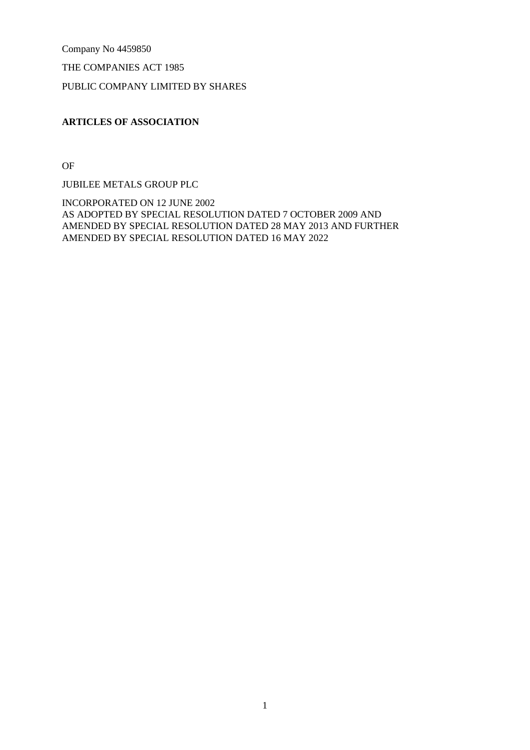Company No 4459850

THE COMPANIES ACT 1985

PUBLIC COMPANY LIMITED BY SHARES

## **ARTICLES OF ASSOCIATION**

OF

JUBILEE METALS GROUP PLC

INCORPORATED ON 12 JUNE 2002 AS ADOPTED BY SPECIAL RESOLUTION DATED 7 OCTOBER 2009 AND AMENDED BY SPECIAL RESOLUTION DATED 28 MAY 2013 AND FURTHER AMENDED BY SPECIAL RESOLUTION DATED 16 MAY 2022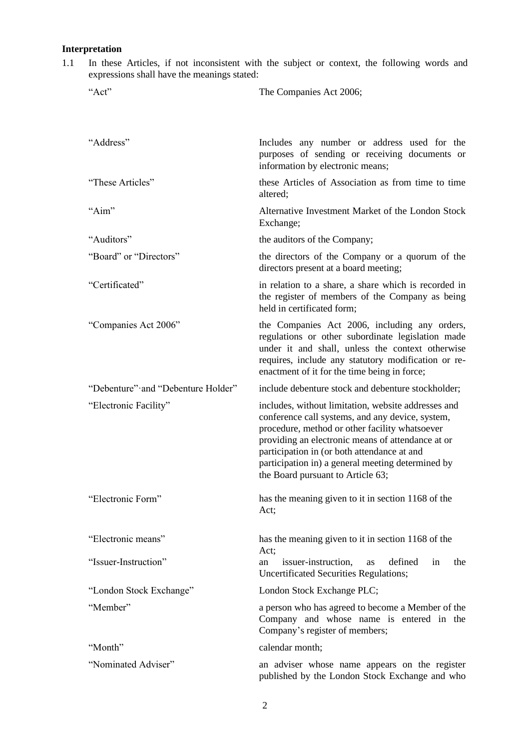# **Interpretation**

1.1 In these Articles, if not inconsistent with the subject or context, the following words and expressions shall have the meanings stated:

| "Act"                              | The Companies Act 2006;                                                                                                                                                                                                                                                                                                                                 |
|------------------------------------|---------------------------------------------------------------------------------------------------------------------------------------------------------------------------------------------------------------------------------------------------------------------------------------------------------------------------------------------------------|
|                                    |                                                                                                                                                                                                                                                                                                                                                         |
| "Address"                          | Includes any number or address used for the<br>purposes of sending or receiving documents or<br>information by electronic means;                                                                                                                                                                                                                        |
| "These Articles"                   | these Articles of Association as from time to time<br>altered:                                                                                                                                                                                                                                                                                          |
| "Aim"                              | Alternative Investment Market of the London Stock<br>Exchange;                                                                                                                                                                                                                                                                                          |
| "Auditors"                         | the auditors of the Company;                                                                                                                                                                                                                                                                                                                            |
| "Board" or "Directors"             | the directors of the Company or a quorum of the<br>directors present at a board meeting;                                                                                                                                                                                                                                                                |
| "Certificated"                     | in relation to a share, a share which is recorded in<br>the register of members of the Company as being<br>held in certificated form;                                                                                                                                                                                                                   |
| "Companies Act 2006"               | the Companies Act 2006, including any orders,<br>regulations or other subordinate legislation made<br>under it and shall, unless the context otherwise<br>requires, include any statutory modification or re-<br>enactment of it for the time being in force;                                                                                           |
| "Debenture" and "Debenture Holder" | include debenture stock and debenture stockholder;                                                                                                                                                                                                                                                                                                      |
| "Electronic Facility"              | includes, without limitation, website addresses and<br>conference call systems, and any device, system,<br>procedure, method or other facility whatsoever<br>providing an electronic means of attendance at or<br>participation in (or both attendance at and<br>participation in) a general meeting determined by<br>the Board pursuant to Article 63; |
| "Electronic Form"                  | has the meaning given to it in section 1168 of the<br>Act;                                                                                                                                                                                                                                                                                              |
| "Electronic means"                 | has the meaning given to it in section 1168 of the<br>Act;                                                                                                                                                                                                                                                                                              |
| "Issuer-Instruction"               | defined<br>issuer-instruction,<br>the<br>in<br>as<br>an<br><b>Uncertificated Securities Regulations;</b>                                                                                                                                                                                                                                                |
| "London Stock Exchange"            | London Stock Exchange PLC;                                                                                                                                                                                                                                                                                                                              |
| "Member"                           | a person who has agreed to become a Member of the<br>Company and whose name is entered in the<br>Company's register of members;                                                                                                                                                                                                                         |
| "Month"                            | calendar month;                                                                                                                                                                                                                                                                                                                                         |
| "Nominated Adviser"                | an adviser whose name appears on the register<br>published by the London Stock Exchange and who                                                                                                                                                                                                                                                         |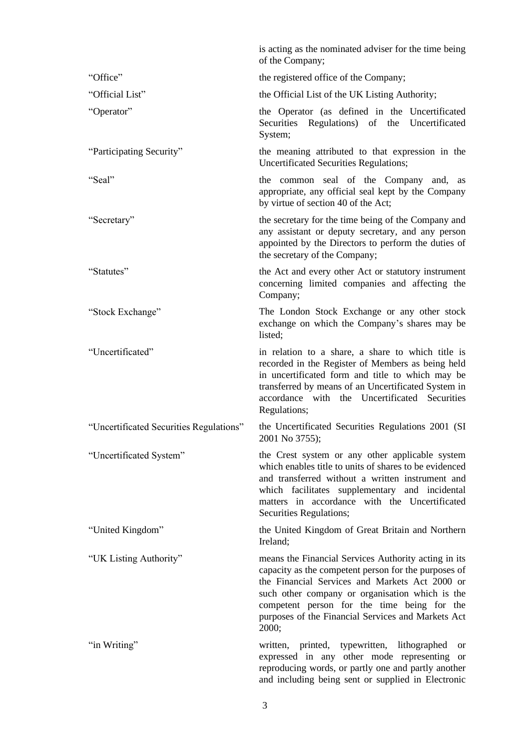|                                         | is acting as the nominated adviser for the time being<br>of the Company;                                                                                                                                                                                                                                                        |
|-----------------------------------------|---------------------------------------------------------------------------------------------------------------------------------------------------------------------------------------------------------------------------------------------------------------------------------------------------------------------------------|
| "Office"                                | the registered office of the Company;                                                                                                                                                                                                                                                                                           |
| "Official List"                         | the Official List of the UK Listing Authority;                                                                                                                                                                                                                                                                                  |
| "Operator"                              | the Operator (as defined in the Uncertificated<br>Securities Regulations) of the Uncertificated<br>System;                                                                                                                                                                                                                      |
| "Participating Security"                | the meaning attributed to that expression in the<br><b>Uncertificated Securities Regulations;</b>                                                                                                                                                                                                                               |
| "Seal"                                  | the common seal of the Company and, as<br>appropriate, any official seal kept by the Company<br>by virtue of section 40 of the Act;                                                                                                                                                                                             |
| "Secretary"                             | the secretary for the time being of the Company and<br>any assistant or deputy secretary, and any person<br>appointed by the Directors to perform the duties of<br>the secretary of the Company;                                                                                                                                |
| "Statutes"                              | the Act and every other Act or statutory instrument<br>concerning limited companies and affecting the<br>Company;                                                                                                                                                                                                               |
| "Stock Exchange"                        | The London Stock Exchange or any other stock<br>exchange on which the Company's shares may be<br>listed;                                                                                                                                                                                                                        |
| "Uncertificated"                        | in relation to a share, a share to which title is<br>recorded in the Register of Members as being held<br>in uncertificated form and title to which may be<br>transferred by means of an Uncertificated System in<br>accordance with the Uncertificated Securities<br>Regulations;                                              |
| "Uncertificated Securities Regulations" | the Uncertificated Securities Regulations 2001 (SI)<br>2001 No 3755);                                                                                                                                                                                                                                                           |
| "Uncertificated System"                 | the Crest system or any other applicable system<br>which enables title to units of shares to be evidenced<br>and transferred without a written instrument and<br>which facilitates supplementary and incidental<br>matters in accordance with the Uncertificated<br>Securities Regulations;                                     |
| "United Kingdom"                        | the United Kingdom of Great Britain and Northern<br>Ireland;                                                                                                                                                                                                                                                                    |
| "UK Listing Authority"                  | means the Financial Services Authority acting in its<br>capacity as the competent person for the purposes of<br>the Financial Services and Markets Act 2000 or<br>such other company or organisation which is the<br>competent person for the time being for the<br>purposes of the Financial Services and Markets Act<br>2000; |
| "in Writing"                            | written, printed, typewritten, lithographed<br><b>or</b><br>expressed in any other mode representing or<br>reproducing words, or partly one and partly another<br>and including being sent or supplied in Electronic                                                                                                            |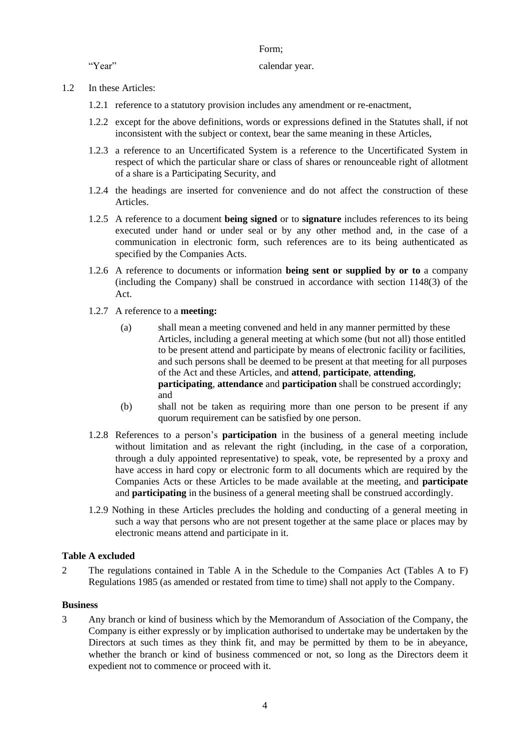Form;

"Year" calendar year.

- 1.2 In these Articles:
	- 1.2.1 reference to a statutory provision includes any amendment or re-enactment,
	- 1.2.2 except for the above definitions, words or expressions defined in the Statutes shall, if not inconsistent with the subject or context, bear the same meaning in these Articles,
	- 1.2.3 a reference to an Uncertificated System is a reference to the Uncertificated System in respect of which the particular share or class of shares or renounceable right of allotment of a share is a Participating Security, and
	- 1.2.4 the headings are inserted for convenience and do not affect the construction of these Articles.
	- 1.2.5 A reference to a document **being signed** or to **signature** includes references to its being executed under hand or under seal or by any other method and, in the case of a communication in electronic form, such references are to its being authenticated as specified by the Companies Acts.
	- 1.2.6 A reference to documents or information **being sent or supplied by or to** a company (including the Company) shall be construed in accordance with section 1148(3) of the Act.
	- 1.2.7 A reference to a **meeting:** 
		- (a) shall mean a meeting convened and held in any manner permitted by these Articles, including a general meeting at which some (but not all) those entitled to be present attend and participate by means of electronic facility or facilities, and such persons shall be deemed to be present at that meeting for all purposes of the Act and these Articles, and **attend**, **participate**, **attending**, **participating**, **attendance** and **participation** shall be construed accordingly; and
		- (b) shall not be taken as requiring more than one person to be present if any quorum requirement can be satisfied by one person.
	- 1.2.8 References to a person's **participation** in the business of a general meeting include without limitation and as relevant the right (including, in the case of a corporation, through a duly appointed representative) to speak, vote, be represented by a proxy and have access in hard copy or electronic form to all documents which are required by the Companies Acts or these Articles to be made available at the meeting, and **participate**  and **participating** in the business of a general meeting shall be construed accordingly.
	- 1.2.9 Nothing in these Articles precludes the holding and conducting of a general meeting in such a way that persons who are not present together at the same place or places may by electronic means attend and participate in it.

### **Table A excluded**

2 The regulations contained in Table A in the Schedule to the Companies Act (Tables A to F) Regulations 1985 (as amended or restated from time to time) shall not apply to the Company.

### **Business**

3 Any branch or kind of business which by the Memorandum of Association of the Company, the Company is either expressly or by implication authorised to undertake may be undertaken by the Directors at such times as they think fit, and may be permitted by them to be in abeyance, whether the branch or kind of business commenced or not, so long as the Directors deem it expedient not to commence or proceed with it.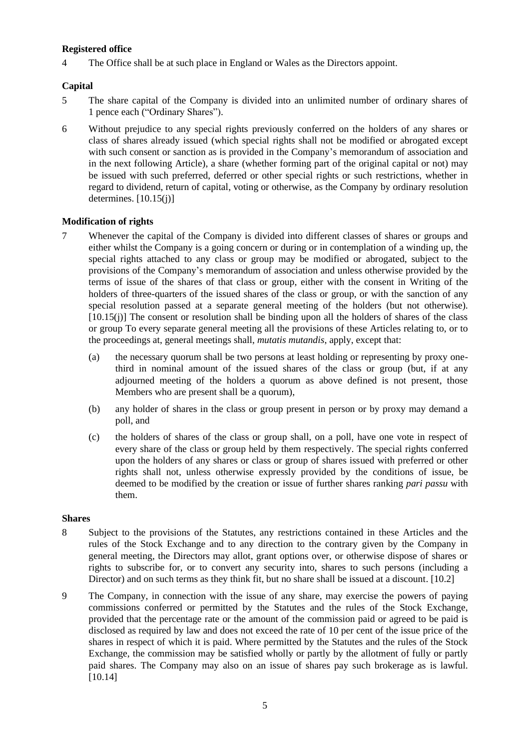## **Registered office**

4 The Office shall be at such place in England or Wales as the Directors appoint.

## **Capital**

- 5 The share capital of the Company is divided into an unlimited number of ordinary shares of 1 pence each ("Ordinary Shares").
- 6 Without prejudice to any special rights previously conferred on the holders of any shares or class of shares already issued (which special rights shall not be modified or abrogated except with such consent or sanction as is provided in the Company's memorandum of association and in the next following Article), a share (whether forming part of the original capital or not) may be issued with such preferred, deferred or other special rights or such restrictions, whether in regard to dividend, return of capital, voting or otherwise, as the Company by ordinary resolution determines.  $[10.15(i)]$

## **Modification of rights**

- 7 Whenever the capital of the Company is divided into different classes of shares or groups and either whilst the Company is a going concern or during or in contemplation of a winding up, the special rights attached to any class or group may be modified or abrogated, subject to the provisions of the Company's memorandum of association and unless otherwise provided by the terms of issue of the shares of that class or group, either with the consent in Writing of the holders of three-quarters of the issued shares of the class or group, or with the sanction of any special resolution passed at a separate general meeting of the holders (but not otherwise).  $[10.15(i)]$  The consent or resolution shall be binding upon all the holders of shares of the class or group To every separate general meeting all the provisions of these Articles relating to, or to the proceedings at, general meetings shall, *mutatis mutandis*, apply, except that:
	- (a) the necessary quorum shall be two persons at least holding or representing by proxy onethird in nominal amount of the issued shares of the class or group (but, if at any adjourned meeting of the holders a quorum as above defined is not present, those Members who are present shall be a quorum),
	- (b) any holder of shares in the class or group present in person or by proxy may demand a poll, and
	- (c) the holders of shares of the class or group shall, on a poll, have one vote in respect of every share of the class or group held by them respectively. The special rights conferred upon the holders of any shares or class or group of shares issued with preferred or other rights shall not, unless otherwise expressly provided by the conditions of issue, be deemed to be modified by the creation or issue of further shares ranking *pari passu* with them.

### **Shares**

- 8 Subject to the provisions of the Statutes, any restrictions contained in these Articles and the rules of the Stock Exchange and to any direction to the contrary given by the Company in general meeting, the Directors may allot, grant options over, or otherwise dispose of shares or rights to subscribe for, or to convert any security into, shares to such persons (including a Director) and on such terms as they think fit, but no share shall be issued at a discount. [10.2]
- 9 The Company, in connection with the issue of any share, may exercise the powers of paying commissions conferred or permitted by the Statutes and the rules of the Stock Exchange, provided that the percentage rate or the amount of the commission paid or agreed to be paid is disclosed as required by law and does not exceed the rate of 10 per cent of the issue price of the shares in respect of which it is paid. Where permitted by the Statutes and the rules of the Stock Exchange, the commission may be satisfied wholly or partly by the allotment of fully or partly paid shares. The Company may also on an issue of shares pay such brokerage as is lawful. [10.14]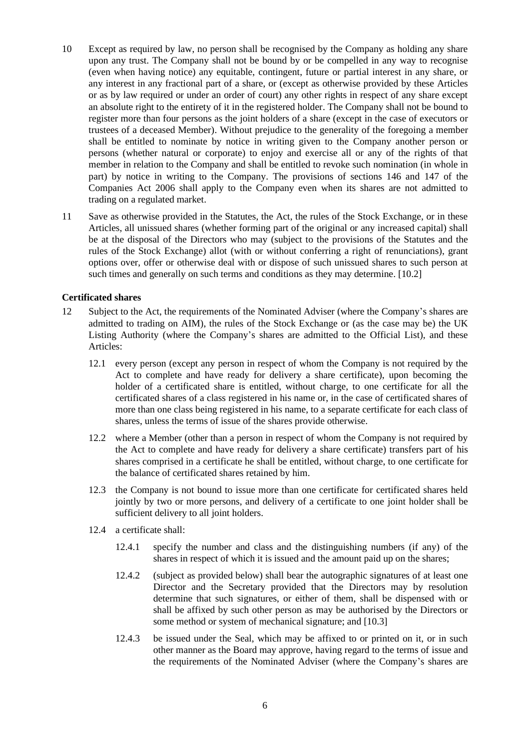- 10 Except as required by law, no person shall be recognised by the Company as holding any share upon any trust. The Company shall not be bound by or be compelled in any way to recognise (even when having notice) any equitable, contingent, future or partial interest in any share, or any interest in any fractional part of a share, or (except as otherwise provided by these Articles or as by law required or under an order of court) any other rights in respect of any share except an absolute right to the entirety of it in the registered holder. The Company shall not be bound to register more than four persons as the joint holders of a share (except in the case of executors or trustees of a deceased Member). Without prejudice to the generality of the foregoing a member shall be entitled to nominate by notice in writing given to the Company another person or persons (whether natural or corporate) to enjoy and exercise all or any of the rights of that member in relation to the Company and shall be entitled to revoke such nomination (in whole in part) by notice in writing to the Company. The provisions of sections 146 and 147 of the Companies Act 2006 shall apply to the Company even when its shares are not admitted to trading on a regulated market.
- 11 Save as otherwise provided in the Statutes, the Act, the rules of the Stock Exchange, or in these Articles, all unissued shares (whether forming part of the original or any increased capital) shall be at the disposal of the Directors who may (subject to the provisions of the Statutes and the rules of the Stock Exchange) allot (with or without conferring a right of renunciations), grant options over, offer or otherwise deal with or dispose of such unissued shares to such person at such times and generally on such terms and conditions as they may determine. [10.2]

## **Certificated shares**

- 12 Subject to the Act, the requirements of the Nominated Adviser (where the Company's shares are admitted to trading on AIM), the rules of the Stock Exchange or (as the case may be) the UK Listing Authority (where the Company's shares are admitted to the Official List), and these Articles:
	- 12.1 every person (except any person in respect of whom the Company is not required by the Act to complete and have ready for delivery a share certificate), upon becoming the holder of a certificated share is entitled, without charge, to one certificate for all the certificated shares of a class registered in his name or, in the case of certificated shares of more than one class being registered in his name, to a separate certificate for each class of shares, unless the terms of issue of the shares provide otherwise.
	- 12.2 where a Member (other than a person in respect of whom the Company is not required by the Act to complete and have ready for delivery a share certificate) transfers part of his shares comprised in a certificate he shall be entitled, without charge, to one certificate for the balance of certificated shares retained by him.
	- 12.3 the Company is not bound to issue more than one certificate for certificated shares held jointly by two or more persons, and delivery of a certificate to one joint holder shall be sufficient delivery to all joint holders.
	- 12.4 a certificate shall:
		- 12.4.1 specify the number and class and the distinguishing numbers (if any) of the shares in respect of which it is issued and the amount paid up on the shares;
		- 12.4.2 (subject as provided below) shall bear the autographic signatures of at least one Director and the Secretary provided that the Directors may by resolution determine that such signatures, or either of them, shall be dispensed with or shall be affixed by such other person as may be authorised by the Directors or some method or system of mechanical signature; and [10.3]
		- 12.4.3 be issued under the Seal, which may be affixed to or printed on it, or in such other manner as the Board may approve, having regard to the terms of issue and the requirements of the Nominated Adviser (where the Company's shares are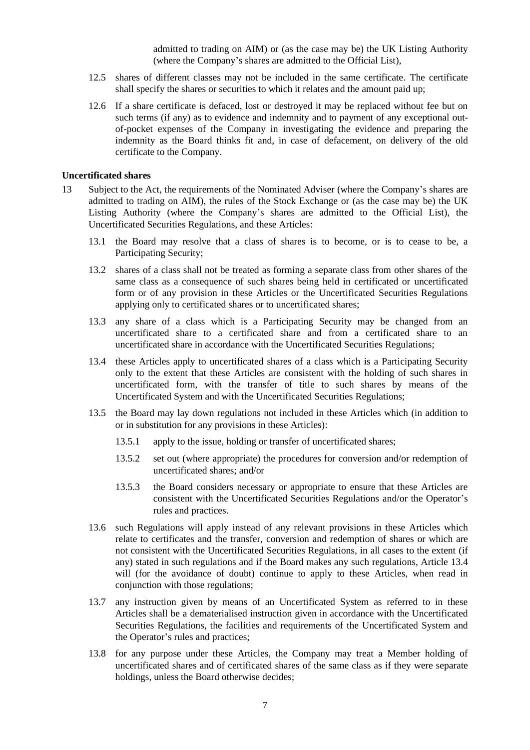admitted to trading on AIM) or (as the case may be) the UK Listing Authority (where the Company's shares are admitted to the Official List),

- 12.5 shares of different classes may not be included in the same certificate. The certificate shall specify the shares or securities to which it relates and the amount paid up;
- 12.6 If a share certificate is defaced, lost or destroyed it may be replaced without fee but on such terms (if any) as to evidence and indemnity and to payment of any exceptional outof-pocket expenses of the Company in investigating the evidence and preparing the indemnity as the Board thinks fit and, in case of defacement, on delivery of the old certificate to the Company.

### **Uncertificated shares**

- 13 Subject to the Act, the requirements of the Nominated Adviser (where the Company's shares are admitted to trading on AIM), the rules of the Stock Exchange or (as the case may be) the UK Listing Authority (where the Company's shares are admitted to the Official List), the Uncertificated Securities Regulations, and these Articles:
	- 13.1 the Board may resolve that a class of shares is to become, or is to cease to be, a Participating Security;
	- 13.2 shares of a class shall not be treated as forming a separate class from other shares of the same class as a consequence of such shares being held in certificated or uncertificated form or of any provision in these Articles or the Uncertificated Securities Regulations applying only to certificated shares or to uncertificated shares;
	- 13.3 any share of a class which is a Participating Security may be changed from an uncertificated share to a certificated share and from a certificated share to an uncertificated share in accordance with the Uncertificated Securities Regulations;
	- 13.4 these Articles apply to uncertificated shares of a class which is a Participating Security only to the extent that these Articles are consistent with the holding of such shares in uncertificated form, with the transfer of title to such shares by means of the Uncertificated System and with the Uncertificated Securities Regulations;
	- 13.5 the Board may lay down regulations not included in these Articles which (in addition to or in substitution for any provisions in these Articles):
		- 13.5.1 apply to the issue, holding or transfer of uncertificated shares;
		- 13.5.2 set out (where appropriate) the procedures for conversion and/or redemption of uncertificated shares; and/or
		- 13.5.3 the Board considers necessary or appropriate to ensure that these Articles are consistent with the Uncertificated Securities Regulations and/or the Operator's rules and practices.
	- 13.6 such Regulations will apply instead of any relevant provisions in these Articles which relate to certificates and the transfer, conversion and redemption of shares or which are not consistent with the Uncertificated Securities Regulations, in all cases to the extent (if any) stated in such regulations and if the Board makes any such regulations, Article 13.4 will (for the avoidance of doubt) continue to apply to these Articles, when read in conjunction with those regulations;
	- 13.7 any instruction given by means of an Uncertificated System as referred to in these Articles shall be a dematerialised instruction given in accordance with the Uncertificated Securities Regulations, the facilities and requirements of the Uncertificated System and the Operator's rules and practices;
	- 13.8 for any purpose under these Articles, the Company may treat a Member holding of uncertificated shares and of certificated shares of the same class as if they were separate holdings, unless the Board otherwise decides;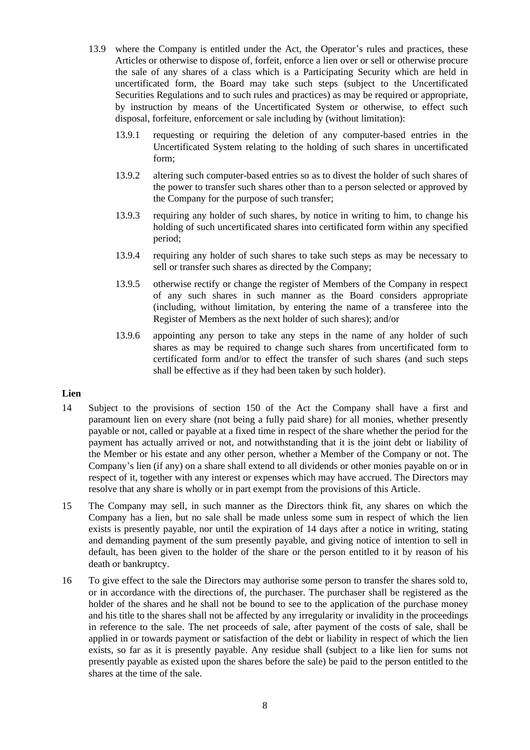- 13.9 where the Company is entitled under the Act, the Operator's rules and practices, these Articles or otherwise to dispose of, forfeit, enforce a lien over or sell or otherwise procure the sale of any shares of a class which is a Participating Security which are held in uncertificated form, the Board may take such steps (subject to the Uncertificated Securities Regulations and to such rules and practices) as may be required or appropriate, by instruction by means of the Uncertificated System or otherwise, to effect such disposal, forfeiture, enforcement or sale including by (without limitation):
	- 13.9.1 requesting or requiring the deletion of any computer-based entries in the Uncertificated System relating to the holding of such shares in uncertificated form;
	- 13.9.2 altering such computer-based entries so as to divest the holder of such shares of the power to transfer such shares other than to a person selected or approved by the Company for the purpose of such transfer;
	- 13.9.3 requiring any holder of such shares, by notice in writing to him, to change his holding of such uncertificated shares into certificated form within any specified period;
	- 13.9.4 requiring any holder of such shares to take such steps as may be necessary to sell or transfer such shares as directed by the Company;
	- 13.9.5 otherwise rectify or change the register of Members of the Company in respect of any such shares in such manner as the Board considers appropriate (including, without limitation, by entering the name of a transferee into the Register of Members as the next holder of such shares); and/or
	- 13.9.6 appointing any person to take any steps in the name of any holder of such shares as may be required to change such shares from uncertificated form to certificated form and/or to effect the transfer of such shares (and such steps shall be effective as if they had been taken by such holder).

### **Lien**

- 14 Subject to the provisions of section 150 of the Act the Company shall have a first and paramount lien on every share (not being a fully paid share) for all monies, whether presently payable or not, called or payable at a fixed time in respect of the share whether the period for the payment has actually arrived or not, and notwithstanding that it is the joint debt or liability of the Member or his estate and any other person, whether a Member of the Company or not. The Company's lien (if any) on a share shall extend to all dividends or other monies payable on or in respect of it, together with any interest or expenses which may have accrued. The Directors may resolve that any share is wholly or in part exempt from the provisions of this Article.
- 15 The Company may sell, in such manner as the Directors think fit, any shares on which the Company has a lien, but no sale shall be made unless some sum in respect of which the lien exists is presently payable, nor until the expiration of 14 days after a notice in writing, stating and demanding payment of the sum presently payable, and giving notice of intention to sell in default, has been given to the holder of the share or the person entitled to it by reason of his death or bankruptcy.
- 16 To give effect to the sale the Directors may authorise some person to transfer the shares sold to, or in accordance with the directions of, the purchaser. The purchaser shall be registered as the holder of the shares and he shall not be bound to see to the application of the purchase money and his title to the shares shall not be affected by any irregularity or invalidity in the proceedings in reference to the sale. The net proceeds of sale, after payment of the costs of sale, shall be applied in or towards payment or satisfaction of the debt or liability in respect of which the lien exists, so far as it is presently payable. Any residue shall (subject to a like lien for sums not presently payable as existed upon the shares before the sale) be paid to the person entitled to the shares at the time of the sale.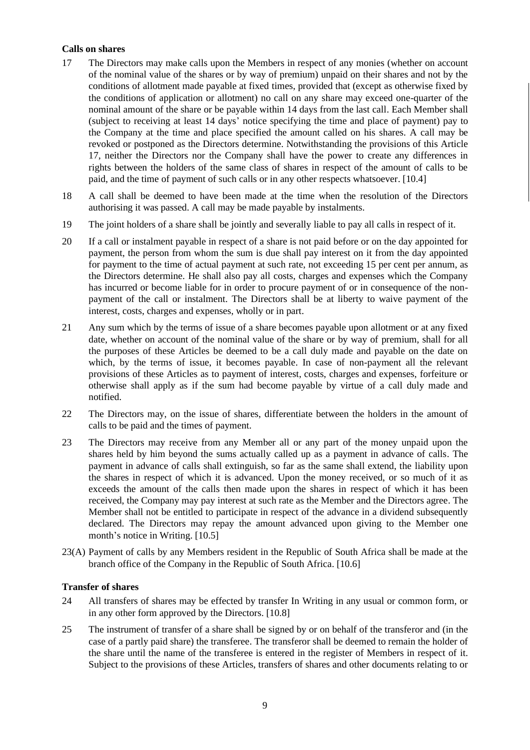## **Calls on shares**

- 17 The Directors may make calls upon the Members in respect of any monies (whether on account of the nominal value of the shares or by way of premium) unpaid on their shares and not by the conditions of allotment made payable at fixed times, provided that (except as otherwise fixed by the conditions of application or allotment) no call on any share may exceed one-quarter of the nominal amount of the share or be payable within 14 days from the last call. Each Member shall (subject to receiving at least 14 days' notice specifying the time and place of payment) pay to the Company at the time and place specified the amount called on his shares. A call may be revoked or postponed as the Directors determine. Notwithstanding the provisions of this Article 17, neither the Directors nor the Company shall have the power to create any differences in rights between the holders of the same class of shares in respect of the amount of calls to be paid, and the time of payment of such calls or in any other respects whatsoever. [10.4]
- 18 A call shall be deemed to have been made at the time when the resolution of the Directors authorising it was passed. A call may be made payable by instalments.
- 19 The joint holders of a share shall be jointly and severally liable to pay all calls in respect of it.
- 20 If a call or instalment payable in respect of a share is not paid before or on the day appointed for payment, the person from whom the sum is due shall pay interest on it from the day appointed for payment to the time of actual payment at such rate, not exceeding 15 per cent per annum, as the Directors determine. He shall also pay all costs, charges and expenses which the Company has incurred or become liable for in order to procure payment of or in consequence of the nonpayment of the call or instalment. The Directors shall be at liberty to waive payment of the interest, costs, charges and expenses, wholly or in part.
- 21 Any sum which by the terms of issue of a share becomes payable upon allotment or at any fixed date, whether on account of the nominal value of the share or by way of premium, shall for all the purposes of these Articles be deemed to be a call duly made and payable on the date on which, by the terms of issue, it becomes payable. In case of non-payment all the relevant provisions of these Articles as to payment of interest, costs, charges and expenses, forfeiture or otherwise shall apply as if the sum had become payable by virtue of a call duly made and notified.
- 22 The Directors may, on the issue of shares, differentiate between the holders in the amount of calls to be paid and the times of payment.
- 23 The Directors may receive from any Member all or any part of the money unpaid upon the shares held by him beyond the sums actually called up as a payment in advance of calls. The payment in advance of calls shall extinguish, so far as the same shall extend, the liability upon the shares in respect of which it is advanced. Upon the money received, or so much of it as exceeds the amount of the calls then made upon the shares in respect of which it has been received, the Company may pay interest at such rate as the Member and the Directors agree. The Member shall not be entitled to participate in respect of the advance in a dividend subsequently declared. The Directors may repay the amount advanced upon giving to the Member one month's notice in Writing. [10.5]
- 23(A) Payment of calls by any Members resident in the Republic of South Africa shall be made at the branch office of the Company in the Republic of South Africa. [10.6]

### **Transfer of shares**

- 24 All transfers of shares may be effected by transfer In Writing in any usual or common form, or in any other form approved by the Directors. [10.8]
- 25 The instrument of transfer of a share shall be signed by or on behalf of the transferor and (in the case of a partly paid share) the transferee. The transferor shall be deemed to remain the holder of the share until the name of the transferee is entered in the register of Members in respect of it. Subject to the provisions of these Articles, transfers of shares and other documents relating to or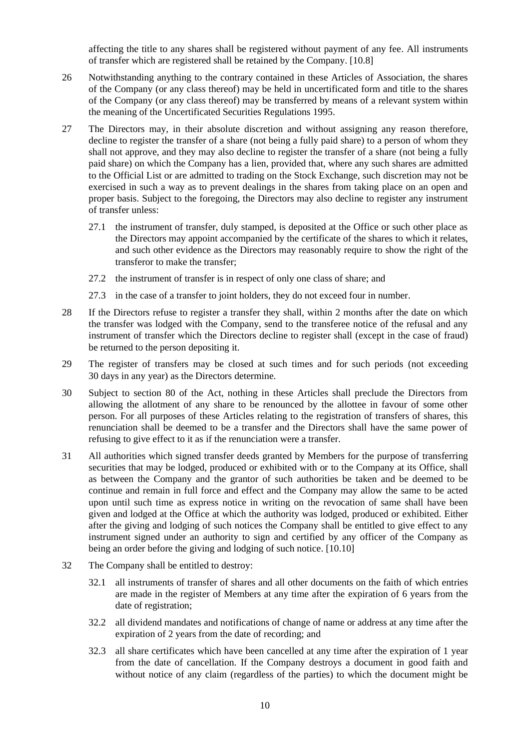affecting the title to any shares shall be registered without payment of any fee. All instruments of transfer which are registered shall be retained by the Company. [10.8]

- 26 Notwithstanding anything to the contrary contained in these Articles of Association, the shares of the Company (or any class thereof) may be held in uncertificated form and title to the shares of the Company (or any class thereof) may be transferred by means of a relevant system within the meaning of the Uncertificated Securities Regulations 1995.
- 27 The Directors may, in their absolute discretion and without assigning any reason therefore, decline to register the transfer of a share (not being a fully paid share) to a person of whom they shall not approve, and they may also decline to register the transfer of a share (not being a fully paid share) on which the Company has a lien, provided that, where any such shares are admitted to the Official List or are admitted to trading on the Stock Exchange, such discretion may not be exercised in such a way as to prevent dealings in the shares from taking place on an open and proper basis. Subject to the foregoing, the Directors may also decline to register any instrument of transfer unless:
	- 27.1 the instrument of transfer, duly stamped, is deposited at the Office or such other place as the Directors may appoint accompanied by the certificate of the shares to which it relates, and such other evidence as the Directors may reasonably require to show the right of the transferor to make the transfer;
	- 27.2 the instrument of transfer is in respect of only one class of share; and
	- 27.3 in the case of a transfer to joint holders, they do not exceed four in number.
- 28 If the Directors refuse to register a transfer they shall, within 2 months after the date on which the transfer was lodged with the Company, send to the transferee notice of the refusal and any instrument of transfer which the Directors decline to register shall (except in the case of fraud) be returned to the person depositing it.
- 29 The register of transfers may be closed at such times and for such periods (not exceeding 30 days in any year) as the Directors determine.
- 30 Subject to section 80 of the Act, nothing in these Articles shall preclude the Directors from allowing the allotment of any share to be renounced by the allottee in favour of some other person. For all purposes of these Articles relating to the registration of transfers of shares, this renunciation shall be deemed to be a transfer and the Directors shall have the same power of refusing to give effect to it as if the renunciation were a transfer.
- 31 All authorities which signed transfer deeds granted by Members for the purpose of transferring securities that may be lodged, produced or exhibited with or to the Company at its Office, shall as between the Company and the grantor of such authorities be taken and be deemed to be continue and remain in full force and effect and the Company may allow the same to be acted upon until such time as express notice in writing on the revocation of same shall have been given and lodged at the Office at which the authority was lodged, produced or exhibited. Either after the giving and lodging of such notices the Company shall be entitled to give effect to any instrument signed under an authority to sign and certified by any officer of the Company as being an order before the giving and lodging of such notice. [10.10]
- 32 The Company shall be entitled to destroy:
	- 32.1 all instruments of transfer of shares and all other documents on the faith of which entries are made in the register of Members at any time after the expiration of 6 years from the date of registration;
	- 32.2 all dividend mandates and notifications of change of name or address at any time after the expiration of 2 years from the date of recording; and
	- 32.3 all share certificates which have been cancelled at any time after the expiration of 1 year from the date of cancellation. If the Company destroys a document in good faith and without notice of any claim (regardless of the parties) to which the document might be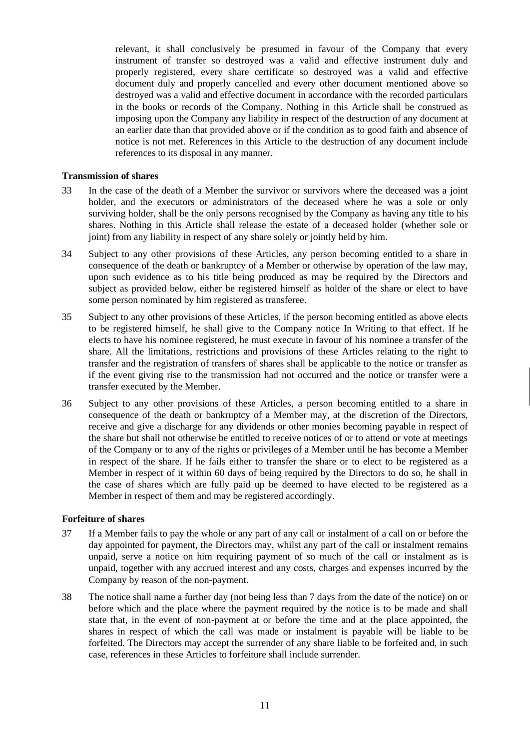relevant, it shall conclusively be presumed in favour of the Company that every instrument of transfer so destroyed was a valid and effective instrument duly and properly registered, every share certificate so destroyed was a valid and effective document duly and properly cancelled and every other document mentioned above so destroyed was a valid and effective document in accordance with the recorded particulars in the books or records of the Company. Nothing in this Article shall be construed as imposing upon the Company any liability in respect of the destruction of any document at an earlier date than that provided above or if the condition as to good faith and absence of notice is not met. References in this Article to the destruction of any document include references to its disposal in any manner.

#### **Transmission of shares**

- 33 In the case of the death of a Member the survivor or survivors where the deceased was a joint holder, and the executors or administrators of the deceased where he was a sole or only surviving holder, shall be the only persons recognised by the Company as having any title to his shares. Nothing in this Article shall release the estate of a deceased holder (whether sole or joint) from any liability in respect of any share solely or jointly held by him.
- 34 Subject to any other provisions of these Articles, any person becoming entitled to a share in consequence of the death or bankruptcy of a Member or otherwise by operation of the law may, upon such evidence as to his title being produced as may be required by the Directors and subject as provided below, either be registered himself as holder of the share or elect to have some person nominated by him registered as transferee.
- 35 Subject to any other provisions of these Articles, if the person becoming entitled as above elects to be registered himself, he shall give to the Company notice In Writing to that effect. If he elects to have his nominee registered, he must execute in favour of his nominee a transfer of the share. All the limitations, restrictions and provisions of these Articles relating to the right to transfer and the registration of transfers of shares shall be applicable to the notice or transfer as if the event giving rise to the transmission had not occurred and the notice or transfer were a transfer executed by the Member.
- 36 Subject to any other provisions of these Articles, a person becoming entitled to a share in consequence of the death or bankruptcy of a Member may, at the discretion of the Directors, receive and give a discharge for any dividends or other monies becoming payable in respect of the share but shall not otherwise be entitled to receive notices of or to attend or vote at meetings of the Company or to any of the rights or privileges of a Member until he has become a Member in respect of the share. If he fails either to transfer the share or to elect to be registered as a Member in respect of it within 60 days of being required by the Directors to do so, he shall in the case of shares which are fully paid up be deemed to have elected to be registered as a Member in respect of them and may be registered accordingly.

#### **Forfeiture of shares**

- 37 If a Member fails to pay the whole or any part of any call or instalment of a call on or before the day appointed for payment, the Directors may, whilst any part of the call or instalment remains unpaid, serve a notice on him requiring payment of so much of the call or instalment as is unpaid, together with any accrued interest and any costs, charges and expenses incurred by the Company by reason of the non-payment.
- 38 The notice shall name a further day (not being less than 7 days from the date of the notice) on or before which and the place where the payment required by the notice is to be made and shall state that, in the event of non-payment at or before the time and at the place appointed, the shares in respect of which the call was made or instalment is payable will be liable to be forfeited. The Directors may accept the surrender of any share liable to be forfeited and, in such case, references in these Articles to forfeiture shall include surrender.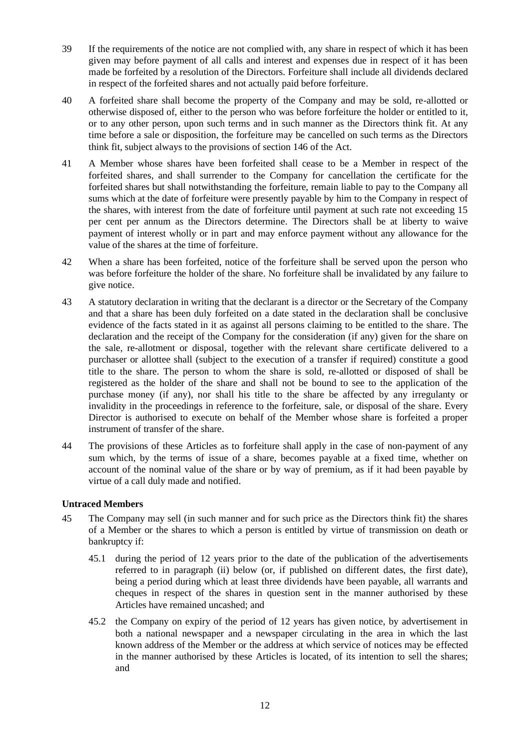- 39 If the requirements of the notice are not complied with, any share in respect of which it has been given may before payment of all calls and interest and expenses due in respect of it has been made be forfeited by a resolution of the Directors. Forfeiture shall include all dividends declared in respect of the forfeited shares and not actually paid before forfeiture.
- 40 A forfeited share shall become the property of the Company and may be sold, re-allotted or otherwise disposed of, either to the person who was before forfeiture the holder or entitled to it, or to any other person, upon such terms and in such manner as the Directors think fit. At any time before a sale or disposition, the forfeiture may be cancelled on such terms as the Directors think fit, subject always to the provisions of section 146 of the Act.
- 41 A Member whose shares have been forfeited shall cease to be a Member in respect of the forfeited shares, and shall surrender to the Company for cancellation the certificate for the forfeited shares but shall notwithstanding the forfeiture, remain liable to pay to the Company all sums which at the date of forfeiture were presently payable by him to the Company in respect of the shares, with interest from the date of forfeiture until payment at such rate not exceeding 15 per cent per annum as the Directors determine. The Directors shall be at liberty to waive payment of interest wholly or in part and may enforce payment without any allowance for the value of the shares at the time of forfeiture.
- 42 When a share has been forfeited, notice of the forfeiture shall be served upon the person who was before forfeiture the holder of the share. No forfeiture shall be invalidated by any failure to give notice.
- 43 A statutory declaration in writing that the declarant is a director or the Secretary of the Company and that a share has been duly forfeited on a date stated in the declaration shall be conclusive evidence of the facts stated in it as against all persons claiming to be entitled to the share. The declaration and the receipt of the Company for the consideration (if any) given for the share on the sale, re-allotment or disposal, together with the relevant share certificate delivered to a purchaser or allottee shall (subject to the execution of a transfer if required) constitute a good title to the share. The person to whom the share is sold, re-allotted or disposed of shall be registered as the holder of the share and shall not be bound to see to the application of the purchase money (if any), nor shall his title to the share be affected by any irregulanty or invalidity in the proceedings in reference to the forfeiture, sale, or disposal of the share. Every Director is authorised to execute on behalf of the Member whose share is forfeited a proper instrument of transfer of the share.
- 44 The provisions of these Articles as to forfeiture shall apply in the case of non-payment of any sum which, by the terms of issue of a share, becomes payable at a fixed time, whether on account of the nominal value of the share or by way of premium, as if it had been payable by virtue of a call duly made and notified.

## **Untraced Members**

- 45 The Company may sell (in such manner and for such price as the Directors think fit) the shares of a Member or the shares to which a person is entitled by virtue of transmission on death or bankruptcy if:
	- 45.1 during the period of 12 years prior to the date of the publication of the advertisements referred to in paragraph (ii) below (or, if published on different dates, the first date), being a period during which at least three dividends have been payable, all warrants and cheques in respect of the shares in question sent in the manner authorised by these Articles have remained uncashed; and
	- 45.2 the Company on expiry of the period of 12 years has given notice, by advertisement in both a national newspaper and a newspaper circulating in the area in which the last known address of the Member or the address at which service of notices may be effected in the manner authorised by these Articles is located, of its intention to sell the shares; and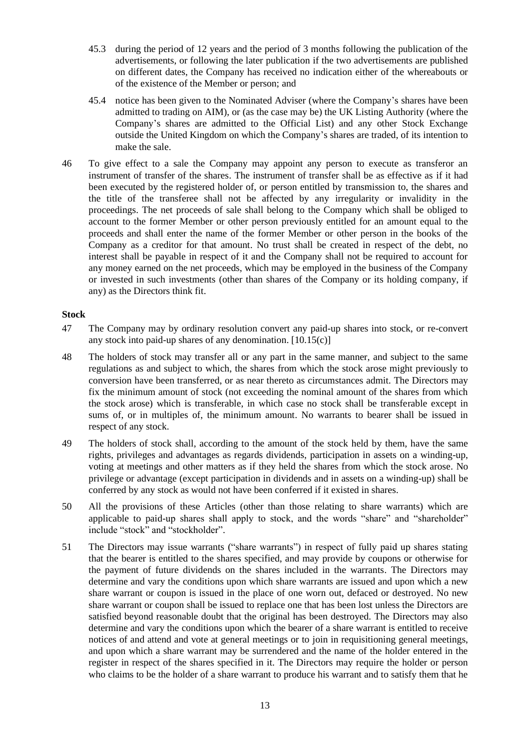- 45.3 during the period of 12 years and the period of 3 months following the publication of the advertisements, or following the later publication if the two advertisements are published on different dates, the Company has received no indication either of the whereabouts or of the existence of the Member or person; and
- 45.4 notice has been given to the Nominated Adviser (where the Company's shares have been admitted to trading on AIM), or (as the case may be) the UK Listing Authority (where the Company's shares are admitted to the Official List) and any other Stock Exchange outside the United Kingdom on which the Company's shares are traded, of its intention to make the sale.
- 46 To give effect to a sale the Company may appoint any person to execute as transferor an instrument of transfer of the shares. The instrument of transfer shall be as effective as if it had been executed by the registered holder of, or person entitled by transmission to, the shares and the title of the transferee shall not be affected by any irregularity or invalidity in the proceedings. The net proceeds of sale shall belong to the Company which shall be obliged to account to the former Member or other person previously entitled for an amount equal to the proceeds and shall enter the name of the former Member or other person in the books of the Company as a creditor for that amount. No trust shall be created in respect of the debt, no interest shall be payable in respect of it and the Company shall not be required to account for any money earned on the net proceeds, which may be employed in the business of the Company or invested in such investments (other than shares of the Company or its holding company, if any) as the Directors think fit.

### **Stock**

- 47 The Company may by ordinary resolution convert any paid-up shares into stock, or re-convert any stock into paid-up shares of any denomination. [10.15(c)]
- 48 The holders of stock may transfer all or any part in the same manner, and subject to the same regulations as and subject to which, the shares from which the stock arose might previously to conversion have been transferred, or as near thereto as circumstances admit. The Directors may fix the minimum amount of stock (not exceeding the nominal amount of the shares from which the stock arose) which is transferable, in which case no stock shall be transferable except in sums of, or in multiples of, the minimum amount. No warrants to bearer shall be issued in respect of any stock.
- 49 The holders of stock shall, according to the amount of the stock held by them, have the same rights, privileges and advantages as regards dividends, participation in assets on a winding-up, voting at meetings and other matters as if they held the shares from which the stock arose. No privilege or advantage (except participation in dividends and in assets on a winding-up) shall be conferred by any stock as would not have been conferred if it existed in shares.
- 50 All the provisions of these Articles (other than those relating to share warrants) which are applicable to paid-up shares shall apply to stock, and the words "share" and "shareholder" include "stock" and "stockholder".
- 51 The Directors may issue warrants ("share warrants") in respect of fully paid up shares stating that the bearer is entitled to the shares specified, and may provide by coupons or otherwise for the payment of future dividends on the shares included in the warrants. The Directors may determine and vary the conditions upon which share warrants are issued and upon which a new share warrant or coupon is issued in the place of one worn out, defaced or destroyed. No new share warrant or coupon shall be issued to replace one that has been lost unless the Directors are satisfied beyond reasonable doubt that the original has been destroyed. The Directors may also determine and vary the conditions upon which the bearer of a share warrant is entitled to receive notices of and attend and vote at general meetings or to join in requisitioning general meetings, and upon which a share warrant may be surrendered and the name of the holder entered in the register in respect of the shares specified in it. The Directors may require the holder or person who claims to be the holder of a share warrant to produce his warrant and to satisfy them that he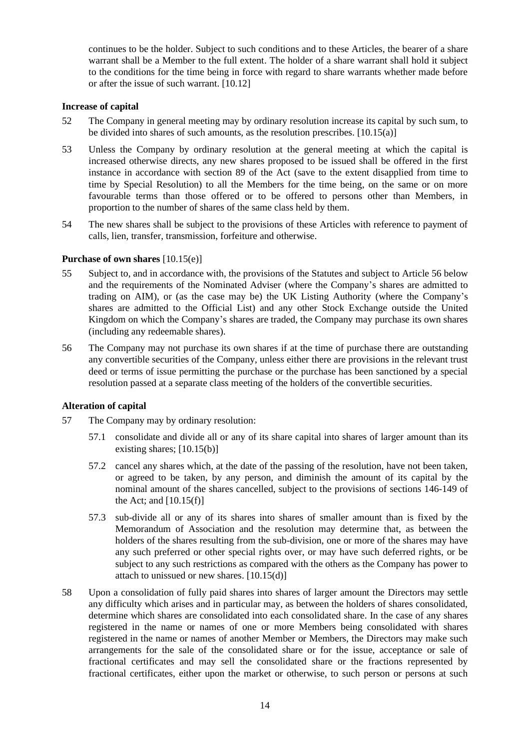continues to be the holder. Subject to such conditions and to these Articles, the bearer of a share warrant shall be a Member to the full extent. The holder of a share warrant shall hold it subject to the conditions for the time being in force with regard to share warrants whether made before or after the issue of such warrant. [10.12]

### **Increase of capital**

- 52 The Company in general meeting may by ordinary resolution increase its capital by such sum, to be divided into shares of such amounts, as the resolution prescribes. [10.15(a)]
- 53 Unless the Company by ordinary resolution at the general meeting at which the capital is increased otherwise directs, any new shares proposed to be issued shall be offered in the first instance in accordance with section 89 of the Act (save to the extent disapplied from time to time by Special Resolution) to all the Members for the time being, on the same or on more favourable terms than those offered or to be offered to persons other than Members, in proportion to the number of shares of the same class held by them.
- 54 The new shares shall be subject to the provisions of these Articles with reference to payment of calls, lien, transfer, transmission, forfeiture and otherwise.

## **Purchase of own shares** [10.15(e)]

- 55 Subject to, and in accordance with, the provisions of the Statutes and subject to Article 56 below and the requirements of the Nominated Adviser (where the Company's shares are admitted to trading on AIM), or (as the case may be) the UK Listing Authority (where the Company's shares are admitted to the Official List) and any other Stock Exchange outside the United Kingdom on which the Company's shares are traded, the Company may purchase its own shares (including any redeemable shares).
- 56 The Company may not purchase its own shares if at the time of purchase there are outstanding any convertible securities of the Company, unless either there are provisions in the relevant trust deed or terms of issue permitting the purchase or the purchase has been sanctioned by a special resolution passed at a separate class meeting of the holders of the convertible securities.

### **Alteration of capital**

- 57 The Company may by ordinary resolution:
	- 57.1 consolidate and divide all or any of its share capital into shares of larger amount than its existing shares; [10.15(b)]
	- 57.2 cancel any shares which, at the date of the passing of the resolution, have not been taken, or agreed to be taken, by any person, and diminish the amount of its capital by the nominal amount of the shares cancelled, subject to the provisions of sections 146-149 of the Act; and  $[10.15(f)]$
	- 57.3 sub-divide all or any of its shares into shares of smaller amount than is fixed by the Memorandum of Association and the resolution may determine that, as between the holders of the shares resulting from the sub-division, one or more of the shares may have any such preferred or other special rights over, or may have such deferred rights, or be subject to any such restrictions as compared with the others as the Company has power to attach to unissued or new shares. [10.15(d)]
- 58 Upon a consolidation of fully paid shares into shares of larger amount the Directors may settle any difficulty which arises and in particular may, as between the holders of shares consolidated, determine which shares are consolidated into each consolidated share. In the case of any shares registered in the name or names of one or more Members being consolidated with shares registered in the name or names of another Member or Members, the Directors may make such arrangements for the sale of the consolidated share or for the issue, acceptance or sale of fractional certificates and may sell the consolidated share or the fractions represented by fractional certificates, either upon the market or otherwise, to such person or persons at such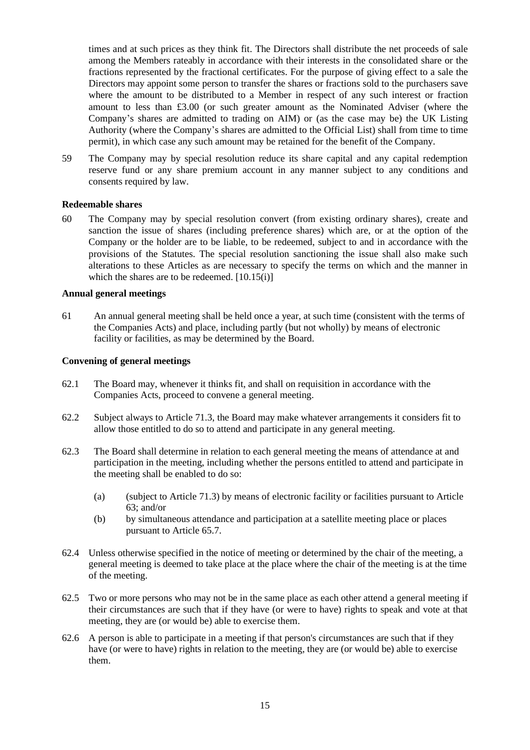times and at such prices as they think fit. The Directors shall distribute the net proceeds of sale among the Members rateably in accordance with their interests in the consolidated share or the fractions represented by the fractional certificates. For the purpose of giving effect to a sale the Directors may appoint some person to transfer the shares or fractions sold to the purchasers save where the amount to be distributed to a Member in respect of any such interest or fraction amount to less than £3.00 (or such greater amount as the Nominated Adviser (where the Company's shares are admitted to trading on AIM) or (as the case may be) the UK Listing Authority (where the Company's shares are admitted to the Official List) shall from time to time permit), in which case any such amount may be retained for the benefit of the Company.

59 The Company may by special resolution reduce its share capital and any capital redemption reserve fund or any share premium account in any manner subject to any conditions and consents required by law.

### **Redeemable shares**

60 The Company may by special resolution convert (from existing ordinary shares), create and sanction the issue of shares (including preference shares) which are, or at the option of the Company or the holder are to be liable, to be redeemed, subject to and in accordance with the provisions of the Statutes. The special resolution sanctioning the issue shall also make such alterations to these Articles as are necessary to specify the terms on which and the manner in which the shares are to be redeemed. [10.15(i)]

#### **Annual general meetings**

61 An annual general meeting shall be held once a year, at such time (consistent with the terms of the Companies Acts) and place, including partly (but not wholly) by means of electronic facility or facilities, as may be determined by the Board.

#### **Convening of general meetings**

- 62.1 The Board may, whenever it thinks fit, and shall on requisition in accordance with the Companies Acts, proceed to convene a general meeting.
- 62.2 Subject always to Article 71.3, the Board may make whatever arrangements it considers fit to allow those entitled to do so to attend and participate in any general meeting.
- 62.3 The Board shall determine in relation to each general meeting the means of attendance at and participation in the meeting, including whether the persons entitled to attend and participate in the meeting shall be enabled to do so:
	- (a) (subject to Article 71.3) by means of electronic facility or facilities pursuant to Article 63; and/or
	- (b) by simultaneous attendance and participation at a satellite meeting place or places pursuant to Article 65.7.
- 62.4 Unless otherwise specified in the notice of meeting or determined by the chair of the meeting, a general meeting is deemed to take place at the place where the chair of the meeting is at the time of the meeting.
- 62.5 Two or more persons who may not be in the same place as each other attend a general meeting if their circumstances are such that if they have (or were to have) rights to speak and vote at that meeting, they are (or would be) able to exercise them.
- 62.6 A person is able to participate in a meeting if that person's circumstances are such that if they have (or were to have) rights in relation to the meeting, they are (or would be) able to exercise them.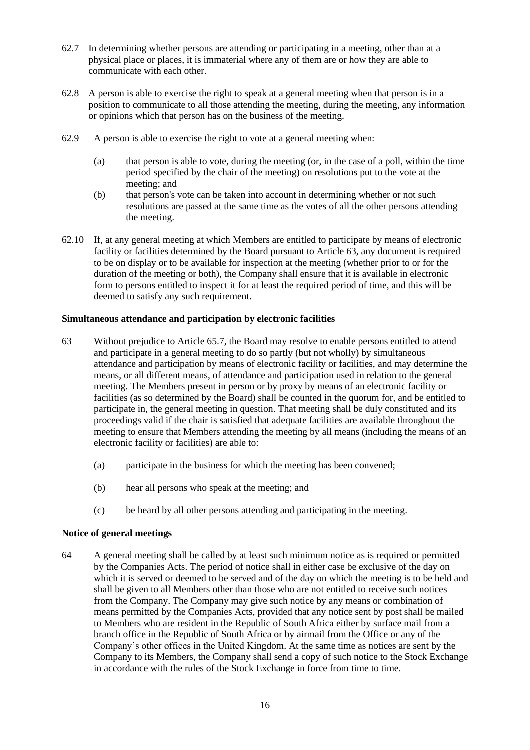- 62.7 In determining whether persons are attending or participating in a meeting, other than at a physical place or places, it is immaterial where any of them are or how they are able to communicate with each other.
- 62.8 A person is able to exercise the right to speak at a general meeting when that person is in a position to communicate to all those attending the meeting, during the meeting, any information or opinions which that person has on the business of the meeting.
- 62.9 A person is able to exercise the right to vote at a general meeting when:
	- (a) that person is able to vote, during the meeting (or, in the case of a poll, within the time period specified by the chair of the meeting) on resolutions put to the vote at the meeting; and
	- (b) that person's vote can be taken into account in determining whether or not such resolutions are passed at the same time as the votes of all the other persons attending the meeting.
- 62.10 If, at any general meeting at which Members are entitled to participate by means of electronic facility or facilities determined by the Board pursuant to Article 63, any document is required to be on display or to be available for inspection at the meeting (whether prior to or for the duration of the meeting or both), the Company shall ensure that it is available in electronic form to persons entitled to inspect it for at least the required period of time, and this will be deemed to satisfy any such requirement.

### **Simultaneous attendance and participation by electronic facilities**

- 63 Without prejudice to Article 65.7, the Board may resolve to enable persons entitled to attend and participate in a general meeting to do so partly (but not wholly) by simultaneous attendance and participation by means of electronic facility or facilities, and may determine the means, or all different means, of attendance and participation used in relation to the general meeting. The Members present in person or by proxy by means of an electronic facility or facilities (as so determined by the Board) shall be counted in the quorum for, and be entitled to participate in, the general meeting in question. That meeting shall be duly constituted and its proceedings valid if the chair is satisfied that adequate facilities are available throughout the meeting to ensure that Members attending the meeting by all means (including the means of an electronic facility or facilities) are able to:
	- (a) participate in the business for which the meeting has been convened;
	- (b) hear all persons who speak at the meeting; and
	- (c) be heard by all other persons attending and participating in the meeting.

### **Notice of general meetings**

64 A general meeting shall be called by at least such minimum notice as is required or permitted by the Companies Acts. The period of notice shall in either case be exclusive of the day on which it is served or deemed to be served and of the day on which the meeting is to be held and shall be given to all Members other than those who are not entitled to receive such notices from the Company. The Company may give such notice by any means or combination of means permitted by the Companies Acts, provided that any notice sent by post shall be mailed to Members who are resident in the Republic of South Africa either by surface mail from a branch office in the Republic of South Africa or by airmail from the Office or any of the Company's other offices in the United Kingdom. At the same time as notices are sent by the Company to its Members, the Company shall send a copy of such notice to the Stock Exchange in accordance with the rules of the Stock Exchange in force from time to time.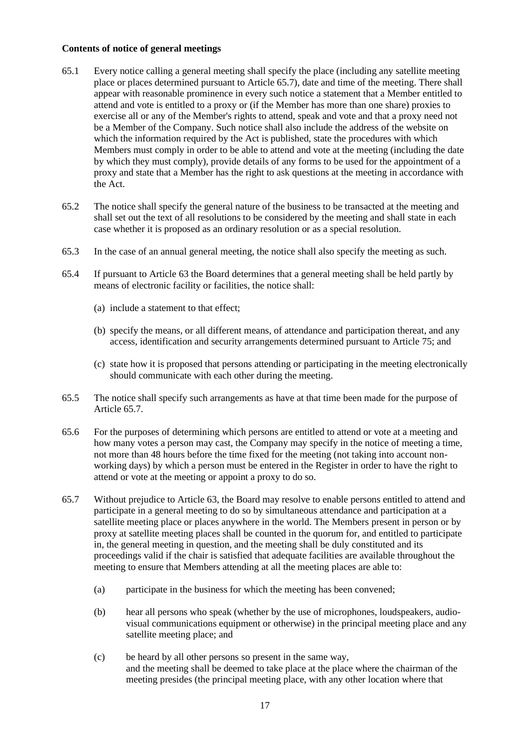### **Contents of notice of general meetings**

- 65.1 Every notice calling a general meeting shall specify the place (including any satellite meeting place or places determined pursuant to Article 65.7), date and time of the meeting. There shall appear with reasonable prominence in every such notice a statement that a Member entitled to attend and vote is entitled to a proxy or (if the Member has more than one share) proxies to exercise all or any of the Member's rights to attend, speak and vote and that a proxy need not be a Member of the Company. Such notice shall also include the address of the website on which the information required by the Act is published, state the procedures with which Members must comply in order to be able to attend and vote at the meeting (including the date by which they must comply), provide details of any forms to be used for the appointment of a proxy and state that a Member has the right to ask questions at the meeting in accordance with the Act.
- 65.2 The notice shall specify the general nature of the business to be transacted at the meeting and shall set out the text of all resolutions to be considered by the meeting and shall state in each case whether it is proposed as an ordinary resolution or as a special resolution.
- 65.3 In the case of an annual general meeting, the notice shall also specify the meeting as such.
- 65.4 If pursuant to Article 63 the Board determines that a general meeting shall be held partly by means of electronic facility or facilities, the notice shall:
	- (a) include a statement to that effect;
	- (b) specify the means, or all different means, of attendance and participation thereat, and any access, identification and security arrangements determined pursuant to Article 75; and
	- (c) state how it is proposed that persons attending or participating in the meeting electronically should communicate with each other during the meeting.
- 65.5 The notice shall specify such arrangements as have at that time been made for the purpose of Article 65.7.
- 65.6 For the purposes of determining which persons are entitled to attend or vote at a meeting and how many votes a person may cast, the Company may specify in the notice of meeting a time, not more than 48 hours before the time fixed for the meeting (not taking into account nonworking days) by which a person must be entered in the Register in order to have the right to attend or vote at the meeting or appoint a proxy to do so.
- 65.7 Without prejudice to Article 63, the Board may resolve to enable persons entitled to attend and participate in a general meeting to do so by simultaneous attendance and participation at a satellite meeting place or places anywhere in the world. The Members present in person or by proxy at satellite meeting places shall be counted in the quorum for, and entitled to participate in, the general meeting in question, and the meeting shall be duly constituted and its proceedings valid if the chair is satisfied that adequate facilities are available throughout the meeting to ensure that Members attending at all the meeting places are able to:
	- (a) participate in the business for which the meeting has been convened;
	- (b) hear all persons who speak (whether by the use of microphones, loudspeakers, audiovisual communications equipment or otherwise) in the principal meeting place and any satellite meeting place; and
	- (c) be heard by all other persons so present in the same way, and the meeting shall be deemed to take place at the place where the chairman of the meeting presides (the principal meeting place, with any other location where that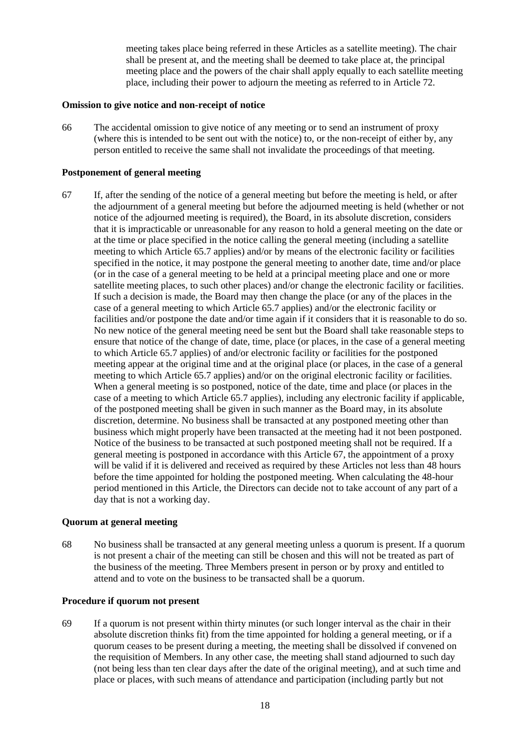meeting takes place being referred in these Articles as a satellite meeting). The chair shall be present at, and the meeting shall be deemed to take place at, the principal meeting place and the powers of the chair shall apply equally to each satellite meeting place, including their power to adjourn the meeting as referred to in Article 72.

#### **Omission to give notice and non-receipt of notice**

66 The accidental omission to give notice of any meeting or to send an instrument of proxy (where this is intended to be sent out with the notice) to, or the non-receipt of either by, any person entitled to receive the same shall not invalidate the proceedings of that meeting.

#### **Postponement of general meeting**

67 If, after the sending of the notice of a general meeting but before the meeting is held, or after the adjournment of a general meeting but before the adjourned meeting is held (whether or not notice of the adjourned meeting is required), the Board, in its absolute discretion, considers that it is impracticable or unreasonable for any reason to hold a general meeting on the date or at the time or place specified in the notice calling the general meeting (including a satellite meeting to which Article 65.7 applies) and/or by means of the electronic facility or facilities specified in the notice, it may postpone the general meeting to another date, time and/or place (or in the case of a general meeting to be held at a principal meeting place and one or more satellite meeting places, to such other places) and/or change the electronic facility or facilities. If such a decision is made, the Board may then change the place (or any of the places in the case of a general meeting to which Article 65.7 applies) and/or the electronic facility or facilities and/or postpone the date and/or time again if it considers that it is reasonable to do so. No new notice of the general meeting need be sent but the Board shall take reasonable steps to ensure that notice of the change of date, time, place (or places, in the case of a general meeting to which Article 65.7 applies) of and/or electronic facility or facilities for the postponed meeting appear at the original time and at the original place (or places, in the case of a general meeting to which Article 65.7 applies) and/or on the original electronic facility or facilities. When a general meeting is so postponed, notice of the date, time and place (or places in the case of a meeting to which Article 65.7 applies), including any electronic facility if applicable, of the postponed meeting shall be given in such manner as the Board may, in its absolute discretion, determine. No business shall be transacted at any postponed meeting other than business which might properly have been transacted at the meeting had it not been postponed. Notice of the business to be transacted at such postponed meeting shall not be required. If a general meeting is postponed in accordance with this Article 67, the appointment of a proxy will be valid if it is delivered and received as required by these Articles not less than 48 hours before the time appointed for holding the postponed meeting. When calculating the 48-hour period mentioned in this Article, the Directors can decide not to take account of any part of a day that is not a working day.

#### **Quorum at general meeting**

68 No business shall be transacted at any general meeting unless a quorum is present. If a quorum is not present a chair of the meeting can still be chosen and this will not be treated as part of the business of the meeting. Three Members present in person or by proxy and entitled to attend and to vote on the business to be transacted shall be a quorum.

#### **Procedure if quorum not present**

69 If a quorum is not present within thirty minutes (or such longer interval as the chair in their absolute discretion thinks fit) from the time appointed for holding a general meeting, or if a quorum ceases to be present during a meeting, the meeting shall be dissolved if convened on the requisition of Members. In any other case, the meeting shall stand adjourned to such day (not being less than ten clear days after the date of the original meeting), and at such time and place or places, with such means of attendance and participation (including partly but not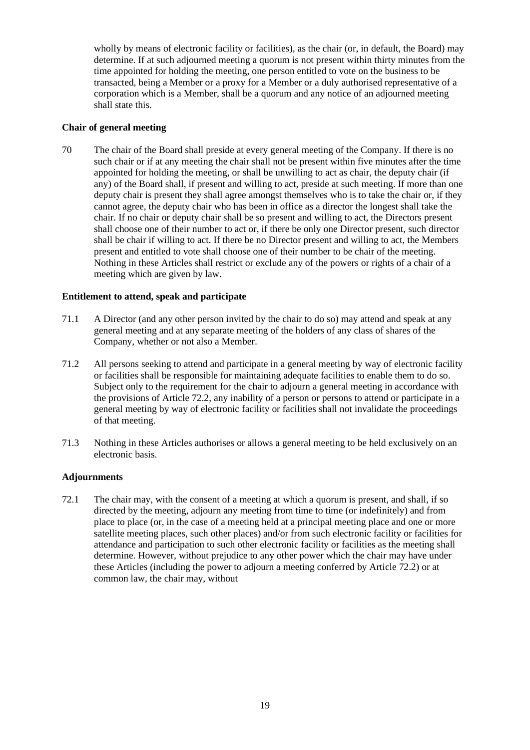wholly by means of electronic facility or facilities), as the chair (or, in default, the Board) may determine. If at such adjourned meeting a quorum is not present within thirty minutes from the time appointed for holding the meeting, one person entitled to vote on the business to be transacted, being a Member or a proxy for a Member or a duly authorised representative of a corporation which is a Member, shall be a quorum and any notice of an adjourned meeting shall state this.

## **Chair of general meeting**

70 The chair of the Board shall preside at every general meeting of the Company. If there is no such chair or if at any meeting the chair shall not be present within five minutes after the time appointed for holding the meeting, or shall be unwilling to act as chair, the deputy chair (if any) of the Board shall, if present and willing to act, preside at such meeting. If more than one deputy chair is present they shall agree amongst themselves who is to take the chair or, if they cannot agree, the deputy chair who has been in office as a director the longest shall take the chair. If no chair or deputy chair shall be so present and willing to act, the Directors present shall choose one of their number to act or, if there be only one Director present, such director shall be chair if willing to act. If there be no Director present and willing to act, the Members present and entitled to vote shall choose one of their number to be chair of the meeting. Nothing in these Articles shall restrict or exclude any of the powers or rights of a chair of a meeting which are given by law.

### **Entitlement to attend, speak and participate**

- 71.1 A Director (and any other person invited by the chair to do so) may attend and speak at any general meeting and at any separate meeting of the holders of any class of shares of the Company, whether or not also a Member.
- 71.2 All persons seeking to attend and participate in a general meeting by way of electronic facility or facilities shall be responsible for maintaining adequate facilities to enable them to do so. Subject only to the requirement for the chair to adjourn a general meeting in accordance with the provisions of Article 72.2, any inability of a person or persons to attend or participate in a general meeting by way of electronic facility or facilities shall not invalidate the proceedings of that meeting.
- 71.3 Nothing in these Articles authorises or allows a general meeting to be held exclusively on an electronic basis.

### **Adjournments**

72.1 The chair may, with the consent of a meeting at which a quorum is present, and shall, if so directed by the meeting, adjourn any meeting from time to time (or indefinitely) and from place to place (or, in the case of a meeting held at a principal meeting place and one or more satellite meeting places, such other places) and/or from such electronic facility or facilities for attendance and participation to such other electronic facility or facilities as the meeting shall determine. However, without prejudice to any other power which the chair may have under these Articles (including the power to adjourn a meeting conferred by Article 72.2) or at common law, the chair may, without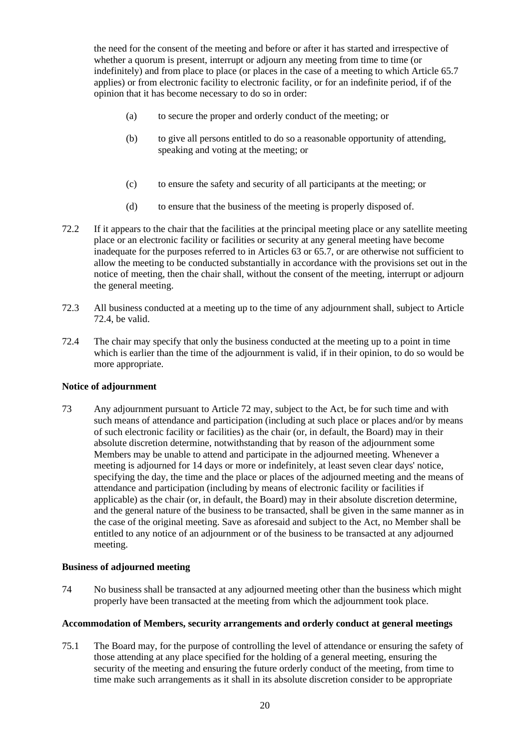the need for the consent of the meeting and before or after it has started and irrespective of whether a quorum is present, interrupt or adjourn any meeting from time to time (or indefinitely) and from place to place (or places in the case of a meeting to which Article 65.7 applies) or from electronic facility to electronic facility, or for an indefinite period, if of the opinion that it has become necessary to do so in order:

- (a) to secure the proper and orderly conduct of the meeting; or
- (b) to give all persons entitled to do so a reasonable opportunity of attending, speaking and voting at the meeting; or
- (c) to ensure the safety and security of all participants at the meeting; or
- (d) to ensure that the business of the meeting is properly disposed of.
- 72.2 If it appears to the chair that the facilities at the principal meeting place or any satellite meeting place or an electronic facility or facilities or security at any general meeting have become inadequate for the purposes referred to in Articles 63 or 65.7, or are otherwise not sufficient to allow the meeting to be conducted substantially in accordance with the provisions set out in the notice of meeting, then the chair shall, without the consent of the meeting, interrupt or adjourn the general meeting.
- 72.3 All business conducted at a meeting up to the time of any adjournment shall, subject to Article 72.4, be valid.
- 72.4 The chair may specify that only the business conducted at the meeting up to a point in time which is earlier than the time of the adjournment is valid, if in their opinion, to do so would be more appropriate.

### **Notice of adjournment**

73 Any adjournment pursuant to Article 72 may, subject to the Act, be for such time and with such means of attendance and participation (including at such place or places and/or by means of such electronic facility or facilities) as the chair (or, in default, the Board) may in their absolute discretion determine, notwithstanding that by reason of the adjournment some Members may be unable to attend and participate in the adjourned meeting. Whenever a meeting is adjourned for 14 days or more or indefinitely, at least seven clear days' notice, specifying the day, the time and the place or places of the adjourned meeting and the means of attendance and participation (including by means of electronic facility or facilities if applicable) as the chair (or, in default, the Board) may in their absolute discretion determine, and the general nature of the business to be transacted, shall be given in the same manner as in the case of the original meeting. Save as aforesaid and subject to the Act, no Member shall be entitled to any notice of an adjournment or of the business to be transacted at any adjourned meeting.

### **Business of adjourned meeting**

74 No business shall be transacted at any adjourned meeting other than the business which might properly have been transacted at the meeting from which the adjournment took place.

### **Accommodation of Members, security arrangements and orderly conduct at general meetings**

75.1 The Board may, for the purpose of controlling the level of attendance or ensuring the safety of those attending at any place specified for the holding of a general meeting, ensuring the security of the meeting and ensuring the future orderly conduct of the meeting, from time to time make such arrangements as it shall in its absolute discretion consider to be appropriate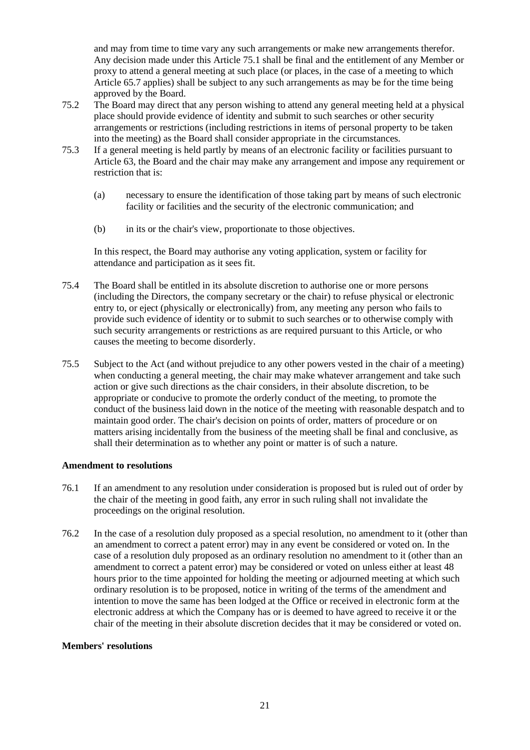and may from time to time vary any such arrangements or make new arrangements therefor. Any decision made under this Article 75.1 shall be final and the entitlement of any Member or proxy to attend a general meeting at such place (or places, in the case of a meeting to which Article 65.7 applies) shall be subject to any such arrangements as may be for the time being approved by the Board.

- 75.2 The Board may direct that any person wishing to attend any general meeting held at a physical place should provide evidence of identity and submit to such searches or other security arrangements or restrictions (including restrictions in items of personal property to be taken into the meeting) as the Board shall consider appropriate in the circumstances.
- 75.3 If a general meeting is held partly by means of an electronic facility or facilities pursuant to Article 63, the Board and the chair may make any arrangement and impose any requirement or restriction that is:
	- (a) necessary to ensure the identification of those taking part by means of such electronic facility or facilities and the security of the electronic communication; and
	- (b) in its or the chair's view, proportionate to those objectives.

In this respect, the Board may authorise any voting application, system or facility for attendance and participation as it sees fit.

- 75.4 The Board shall be entitled in its absolute discretion to authorise one or more persons (including the Directors, the company secretary or the chair) to refuse physical or electronic entry to, or eject (physically or electronically) from, any meeting any person who fails to provide such evidence of identity or to submit to such searches or to otherwise comply with such security arrangements or restrictions as are required pursuant to this Article, or who causes the meeting to become disorderly.
- 75.5 Subject to the Act (and without prejudice to any other powers vested in the chair of a meeting) when conducting a general meeting, the chair may make whatever arrangement and take such action or give such directions as the chair considers, in their absolute discretion, to be appropriate or conducive to promote the orderly conduct of the meeting, to promote the conduct of the business laid down in the notice of the meeting with reasonable despatch and to maintain good order. The chair's decision on points of order, matters of procedure or on matters arising incidentally from the business of the meeting shall be final and conclusive, as shall their determination as to whether any point or matter is of such a nature.

### **Amendment to resolutions**

- 76.1 If an amendment to any resolution under consideration is proposed but is ruled out of order by the chair of the meeting in good faith, any error in such ruling shall not invalidate the proceedings on the original resolution.
- 76.2 In the case of a resolution duly proposed as a special resolution, no amendment to it (other than an amendment to correct a patent error) may in any event be considered or voted on. In the case of a resolution duly proposed as an ordinary resolution no amendment to it (other than an amendment to correct a patent error) may be considered or voted on unless either at least 48 hours prior to the time appointed for holding the meeting or adjourned meeting at which such ordinary resolution is to be proposed, notice in writing of the terms of the amendment and intention to move the same has been lodged at the Office or received in electronic form at the electronic address at which the Company has or is deemed to have agreed to receive it or the chair of the meeting in their absolute discretion decides that it may be considered or voted on.

### **Members' resolutions**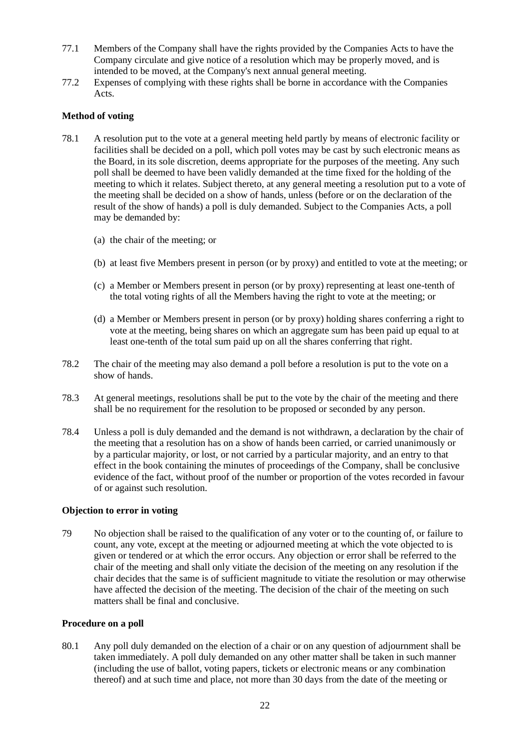- 77.1 Members of the Company shall have the rights provided by the Companies Acts to have the Company circulate and give notice of a resolution which may be properly moved, and is intended to be moved, at the Company's next annual general meeting.
- 77.2 Expenses of complying with these rights shall be borne in accordance with the Companies Acts.

## **Method of voting**

- 78.1 A resolution put to the vote at a general meeting held partly by means of electronic facility or facilities shall be decided on a poll, which poll votes may be cast by such electronic means as the Board, in its sole discretion, deems appropriate for the purposes of the meeting. Any such poll shall be deemed to have been validly demanded at the time fixed for the holding of the meeting to which it relates. Subject thereto, at any general meeting a resolution put to a vote of the meeting shall be decided on a show of hands, unless (before or on the declaration of the result of the show of hands) a poll is duly demanded. Subject to the Companies Acts, a poll may be demanded by:
	- (a) the chair of the meeting; or
	- (b) at least five Members present in person (or by proxy) and entitled to vote at the meeting; or
	- (c) a Member or Members present in person (or by proxy) representing at least one-tenth of the total voting rights of all the Members having the right to vote at the meeting; or
	- (d) a Member or Members present in person (or by proxy) holding shares conferring a right to vote at the meeting, being shares on which an aggregate sum has been paid up equal to at least one-tenth of the total sum paid up on all the shares conferring that right.
- 78.2 The chair of the meeting may also demand a poll before a resolution is put to the vote on a show of hands.
- 78.3 At general meetings, resolutions shall be put to the vote by the chair of the meeting and there shall be no requirement for the resolution to be proposed or seconded by any person.
- 78.4 Unless a poll is duly demanded and the demand is not withdrawn, a declaration by the chair of the meeting that a resolution has on a show of hands been carried, or carried unanimously or by a particular majority, or lost, or not carried by a particular majority, and an entry to that effect in the book containing the minutes of proceedings of the Company, shall be conclusive evidence of the fact, without proof of the number or proportion of the votes recorded in favour of or against such resolution.

### **Objection to error in voting**

79 No objection shall be raised to the qualification of any voter or to the counting of, or failure to count, any vote, except at the meeting or adjourned meeting at which the vote objected to is given or tendered or at which the error occurs. Any objection or error shall be referred to the chair of the meeting and shall only vitiate the decision of the meeting on any resolution if the chair decides that the same is of sufficient magnitude to vitiate the resolution or may otherwise have affected the decision of the meeting. The decision of the chair of the meeting on such matters shall be final and conclusive.

### **Procedure on a poll**

80.1 Any poll duly demanded on the election of a chair or on any question of adjournment shall be taken immediately. A poll duly demanded on any other matter shall be taken in such manner (including the use of ballot, voting papers, tickets or electronic means or any combination thereof) and at such time and place, not more than 30 days from the date of the meeting or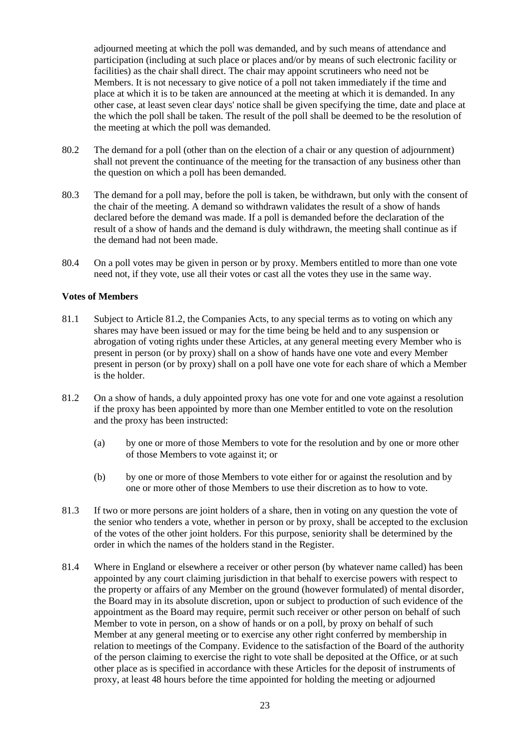adjourned meeting at which the poll was demanded, and by such means of attendance and participation (including at such place or places and/or by means of such electronic facility or facilities) as the chair shall direct. The chair may appoint scrutineers who need not be Members. It is not necessary to give notice of a poll not taken immediately if the time and place at which it is to be taken are announced at the meeting at which it is demanded. In any other case, at least seven clear days' notice shall be given specifying the time, date and place at the which the poll shall be taken. The result of the poll shall be deemed to be the resolution of the meeting at which the poll was demanded.

- 80.2 The demand for a poll (other than on the election of a chair or any question of adjournment) shall not prevent the continuance of the meeting for the transaction of any business other than the question on which a poll has been demanded.
- 80.3 The demand for a poll may, before the poll is taken, be withdrawn, but only with the consent of the chair of the meeting. A demand so withdrawn validates the result of a show of hands declared before the demand was made. If a poll is demanded before the declaration of the result of a show of hands and the demand is duly withdrawn, the meeting shall continue as if the demand had not been made.
- 80.4 On a poll votes may be given in person or by proxy. Members entitled to more than one vote need not, if they vote, use all their votes or cast all the votes they use in the same way.

### **Votes of Members**

- 81.1 Subject to Article 81.2, the Companies Acts, to any special terms as to voting on which any shares may have been issued or may for the time being be held and to any suspension or abrogation of voting rights under these Articles, at any general meeting every Member who is present in person (or by proxy) shall on a show of hands have one vote and every Member present in person (or by proxy) shall on a poll have one vote for each share of which a Member is the holder.
- 81.2 On a show of hands, a duly appointed proxy has one vote for and one vote against a resolution if the proxy has been appointed by more than one Member entitled to vote on the resolution and the proxy has been instructed:
	- (a) by one or more of those Members to vote for the resolution and by one or more other of those Members to vote against it; or
	- (b) by one or more of those Members to vote either for or against the resolution and by one or more other of those Members to use their discretion as to how to vote.
- 81.3 If two or more persons are joint holders of a share, then in voting on any question the vote of the senior who tenders a vote, whether in person or by proxy, shall be accepted to the exclusion of the votes of the other joint holders. For this purpose, seniority shall be determined by the order in which the names of the holders stand in the Register.
- 81.4 Where in England or elsewhere a receiver or other person (by whatever name called) has been appointed by any court claiming jurisdiction in that behalf to exercise powers with respect to the property or affairs of any Member on the ground (however formulated) of mental disorder, the Board may in its absolute discretion, upon or subject to production of such evidence of the appointment as the Board may require, permit such receiver or other person on behalf of such Member to vote in person, on a show of hands or on a poll, by proxy on behalf of such Member at any general meeting or to exercise any other right conferred by membership in relation to meetings of the Company. Evidence to the satisfaction of the Board of the authority of the person claiming to exercise the right to vote shall be deposited at the Office, or at such other place as is specified in accordance with these Articles for the deposit of instruments of proxy, at least 48 hours before the time appointed for holding the meeting or adjourned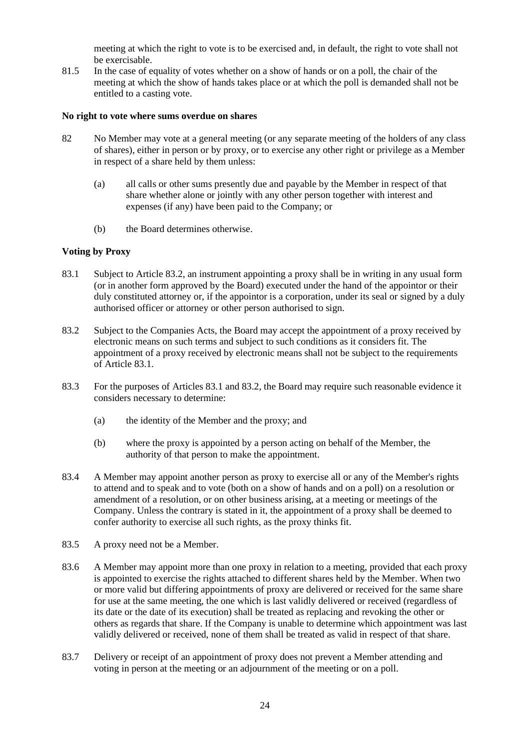meeting at which the right to vote is to be exercised and, in default, the right to vote shall not be exercisable.

81.5 In the case of equality of votes whether on a show of hands or on a poll, the chair of the meeting at which the show of hands takes place or at which the poll is demanded shall not be entitled to a casting vote.

#### **No right to vote where sums overdue on shares**

- 82 No Member may vote at a general meeting (or any separate meeting of the holders of any class of shares), either in person or by proxy, or to exercise any other right or privilege as a Member in respect of a share held by them unless:
	- (a) all calls or other sums presently due and payable by the Member in respect of that share whether alone or jointly with any other person together with interest and expenses (if any) have been paid to the Company; or
	- (b) the Board determines otherwise.

### **Voting by Proxy**

- 83.1 Subject to Article 83.2, an instrument appointing a proxy shall be in writing in any usual form (or in another form approved by the Board) executed under the hand of the appointor or their duly constituted attorney or, if the appoint is a corporation, under its seal or signed by a duly authorised officer or attorney or other person authorised to sign.
- 83.2 Subject to the Companies Acts, the Board may accept the appointment of a proxy received by electronic means on such terms and subject to such conditions as it considers fit. The appointment of a proxy received by electronic means shall not be subject to the requirements of Article 83.1.
- 83.3 For the purposes of Articles 83.1 and 83.2, the Board may require such reasonable evidence it considers necessary to determine:
	- (a) the identity of the Member and the proxy; and
	- (b) where the proxy is appointed by a person acting on behalf of the Member, the authority of that person to make the appointment.
- 83.4 A Member may appoint another person as proxy to exercise all or any of the Member's rights to attend and to speak and to vote (both on a show of hands and on a poll) on a resolution or amendment of a resolution, or on other business arising, at a meeting or meetings of the Company. Unless the contrary is stated in it, the appointment of a proxy shall be deemed to confer authority to exercise all such rights, as the proxy thinks fit.
- 83.5 A proxy need not be a Member.
- 83.6 A Member may appoint more than one proxy in relation to a meeting, provided that each proxy is appointed to exercise the rights attached to different shares held by the Member. When two or more valid but differing appointments of proxy are delivered or received for the same share for use at the same meeting, the one which is last validly delivered or received (regardless of its date or the date of its execution) shall be treated as replacing and revoking the other or others as regards that share. If the Company is unable to determine which appointment was last validly delivered or received, none of them shall be treated as valid in respect of that share.
- 83.7 Delivery or receipt of an appointment of proxy does not prevent a Member attending and voting in person at the meeting or an adjournment of the meeting or on a poll.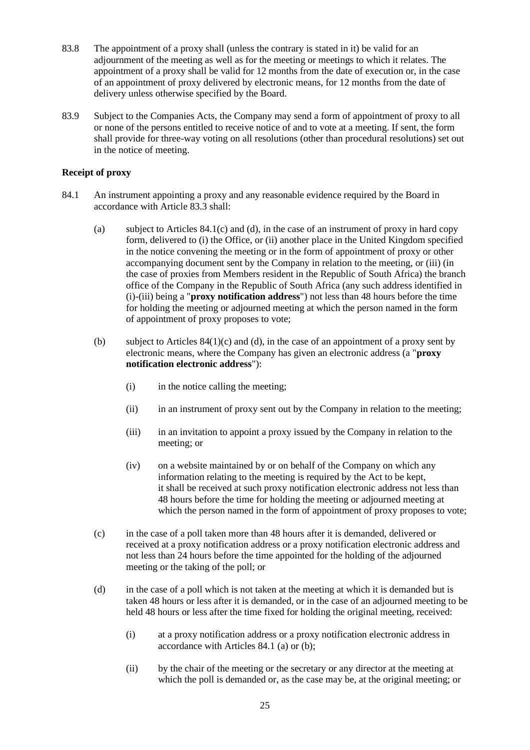- 83.8 The appointment of a proxy shall (unless the contrary is stated in it) be valid for an adjournment of the meeting as well as for the meeting or meetings to which it relates. The appointment of a proxy shall be valid for 12 months from the date of execution or, in the case of an appointment of proxy delivered by electronic means, for 12 months from the date of delivery unless otherwise specified by the Board.
- 83.9 Subject to the Companies Acts, the Company may send a form of appointment of proxy to all or none of the persons entitled to receive notice of and to vote at a meeting. If sent, the form shall provide for three-way voting on all resolutions (other than procedural resolutions) set out in the notice of meeting.

## **Receipt of proxy**

- 84.1 An instrument appointing a proxy and any reasonable evidence required by the Board in accordance with Article 83.3 shall:
	- (a) subject to Articles 84.1(c) and (d), in the case of an instrument of proxy in hard copy form, delivered to (i) the Office, or (ii) another place in the United Kingdom specified in the notice convening the meeting or in the form of appointment of proxy or other accompanying document sent by the Company in relation to the meeting, or (iii) (in the case of proxies from Members resident in the Republic of South Africa) the branch office of the Company in the Republic of South Africa (any such address identified in (i)-(iii) being a "**proxy notification address**") not less than 48 hours before the time for holding the meeting or adjourned meeting at which the person named in the form of appointment of proxy proposes to vote;
	- (b) subject to Articles  $84(1)(c)$  and (d), in the case of an appointment of a proxy sent by electronic means, where the Company has given an electronic address (a "**proxy notification electronic address**"):
		- (i) in the notice calling the meeting;
		- (ii) in an instrument of proxy sent out by the Company in relation to the meeting;
		- (iii) in an invitation to appoint a proxy issued by the Company in relation to the meeting; or
		- (iv) on a website maintained by or on behalf of the Company on which any information relating to the meeting is required by the Act to be kept, it shall be received at such proxy notification electronic address not less than 48 hours before the time for holding the meeting or adjourned meeting at which the person named in the form of appointment of proxy proposes to vote;
	- (c) in the case of a poll taken more than 48 hours after it is demanded, delivered or received at a proxy notification address or a proxy notification electronic address and not less than 24 hours before the time appointed for the holding of the adjourned meeting or the taking of the poll; or
	- (d) in the case of a poll which is not taken at the meeting at which it is demanded but is taken 48 hours or less after it is demanded, or in the case of an adjourned meeting to be held 48 hours or less after the time fixed for holding the original meeting, received:
		- (i) at a proxy notification address or a proxy notification electronic address in accordance with Articles 84.1 (a) or (b);
		- (ii) by the chair of the meeting or the secretary or any director at the meeting at which the poll is demanded or, as the case may be, at the original meeting; or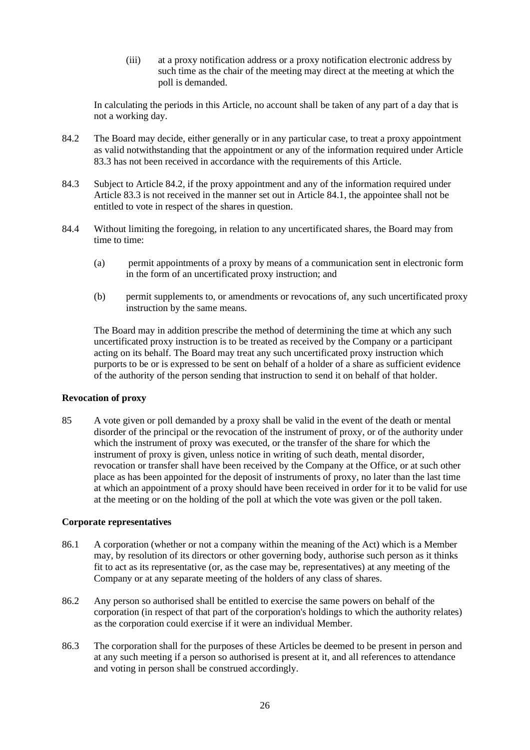(iii) at a proxy notification address or a proxy notification electronic address by such time as the chair of the meeting may direct at the meeting at which the poll is demanded.

In calculating the periods in this Article, no account shall be taken of any part of a day that is not a working day.

- 84.2 The Board may decide, either generally or in any particular case, to treat a proxy appointment as valid notwithstanding that the appointment or any of the information required under Article 83.3 has not been received in accordance with the requirements of this Article.
- 84.3 Subject to Article 84.2, if the proxy appointment and any of the information required under Article 83.3 is not received in the manner set out in Article 84.1, the appointee shall not be entitled to vote in respect of the shares in question.
- 84.4 Without limiting the foregoing, in relation to any uncertificated shares, the Board may from time to time:
	- (a) permit appointments of a proxy by means of a communication sent in electronic form in the form of an uncertificated proxy instruction; and
	- (b) permit supplements to, or amendments or revocations of, any such uncertificated proxy instruction by the same means.

The Board may in addition prescribe the method of determining the time at which any such uncertificated proxy instruction is to be treated as received by the Company or a participant acting on its behalf. The Board may treat any such uncertificated proxy instruction which purports to be or is expressed to be sent on behalf of a holder of a share as sufficient evidence of the authority of the person sending that instruction to send it on behalf of that holder.

### **Revocation of proxy**

85 A vote given or poll demanded by a proxy shall be valid in the event of the death or mental disorder of the principal or the revocation of the instrument of proxy, or of the authority under which the instrument of proxy was executed, or the transfer of the share for which the instrument of proxy is given, unless notice in writing of such death, mental disorder, revocation or transfer shall have been received by the Company at the Office, or at such other place as has been appointed for the deposit of instruments of proxy, no later than the last time at which an appointment of a proxy should have been received in order for it to be valid for use at the meeting or on the holding of the poll at which the vote was given or the poll taken.

## **Corporate representatives**

- 86.1 A corporation (whether or not a company within the meaning of the Act) which is a Member may, by resolution of its directors or other governing body, authorise such person as it thinks fit to act as its representative (or, as the case may be, representatives) at any meeting of the Company or at any separate meeting of the holders of any class of shares.
- 86.2 Any person so authorised shall be entitled to exercise the same powers on behalf of the corporation (in respect of that part of the corporation's holdings to which the authority relates) as the corporation could exercise if it were an individual Member.
- 86.3 The corporation shall for the purposes of these Articles be deemed to be present in person and at any such meeting if a person so authorised is present at it, and all references to attendance and voting in person shall be construed accordingly.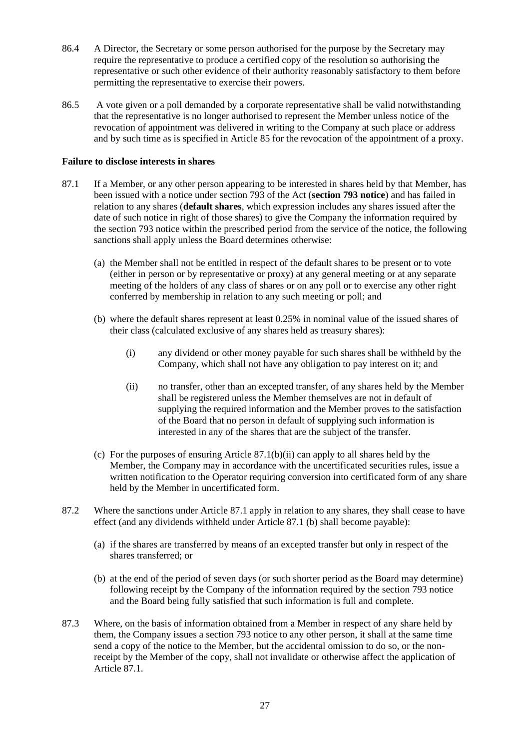- 86.4 A Director, the Secretary or some person authorised for the purpose by the Secretary may require the representative to produce a certified copy of the resolution so authorising the representative or such other evidence of their authority reasonably satisfactory to them before permitting the representative to exercise their powers.
- 86.5 A vote given or a poll demanded by a corporate representative shall be valid notwithstanding that the representative is no longer authorised to represent the Member unless notice of the revocation of appointment was delivered in writing to the Company at such place or address and by such time as is specified in Article 85 for the revocation of the appointment of a proxy.

### **Failure to disclose interests in shares**

- 87.1 If a Member, or any other person appearing to be interested in shares held by that Member, has been issued with a notice under section 793 of the Act (**section 793 notice**) and has failed in relation to any shares (**default shares**, which expression includes any shares issued after the date of such notice in right of those shares) to give the Company the information required by the section 793 notice within the prescribed period from the service of the notice, the following sanctions shall apply unless the Board determines otherwise:
	- (a) the Member shall not be entitled in respect of the default shares to be present or to vote (either in person or by representative or proxy) at any general meeting or at any separate meeting of the holders of any class of shares or on any poll or to exercise any other right conferred by membership in relation to any such meeting or poll; and
	- (b) where the default shares represent at least 0.25% in nominal value of the issued shares of their class (calculated exclusive of any shares held as treasury shares):
		- (i) any dividend or other money payable for such shares shall be withheld by the Company, which shall not have any obligation to pay interest on it; and
		- (ii) no transfer, other than an excepted transfer, of any shares held by the Member shall be registered unless the Member themselves are not in default of supplying the required information and the Member proves to the satisfaction of the Board that no person in default of supplying such information is interested in any of the shares that are the subject of the transfer.
	- (c) For the purposes of ensuring Article  $(87.1(b)(ii))$  can apply to all shares held by the Member, the Company may in accordance with the uncertificated securities rules, issue a written notification to the Operator requiring conversion into certificated form of any share held by the Member in uncertificated form.
- 87.2 Where the sanctions under Article 87.1 apply in relation to any shares, they shall cease to have effect (and any dividends withheld under Article 87.1 (b) shall become payable):
	- (a) if the shares are transferred by means of an excepted transfer but only in respect of the shares transferred; or
	- (b) at the end of the period of seven days (or such shorter period as the Board may determine) following receipt by the Company of the information required by the section 793 notice and the Board being fully satisfied that such information is full and complete.
- 87.3 Where, on the basis of information obtained from a Member in respect of any share held by them, the Company issues a section 793 notice to any other person, it shall at the same time send a copy of the notice to the Member, but the accidental omission to do so, or the nonreceipt by the Member of the copy, shall not invalidate or otherwise affect the application of Article 87.1.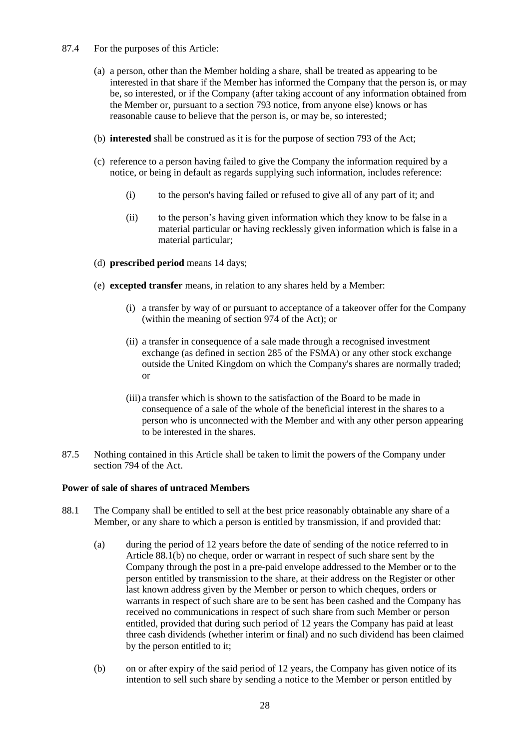- 87.4 For the purposes of this Article:
	- (a) a person, other than the Member holding a share, shall be treated as appearing to be interested in that share if the Member has informed the Company that the person is, or may be, so interested, or if the Company (after taking account of any information obtained from the Member or, pursuant to a section 793 notice, from anyone else) knows or has reasonable cause to believe that the person is, or may be, so interested;
	- (b) **interested** shall be construed as it is for the purpose of section 793 of the Act;
	- (c) reference to a person having failed to give the Company the information required by a notice, or being in default as regards supplying such information, includes reference:
		- (i) to the person's having failed or refused to give all of any part of it; and
		- (ii) to the person's having given information which they know to be false in a material particular or having recklessly given information which is false in a material particular;
	- (d) **prescribed period** means 14 days;
	- (e) **excepted transfer** means, in relation to any shares held by a Member:
		- (i) a transfer by way of or pursuant to acceptance of a takeover offer for the Company (within the meaning of section 974 of the Act); or
		- (ii) a transfer in consequence of a sale made through a recognised investment exchange (as defined in section 285 of the FSMA) or any other stock exchange outside the United Kingdom on which the Company's shares are normally traded; or
		- (iii) a transfer which is shown to the satisfaction of the Board to be made in consequence of a sale of the whole of the beneficial interest in the shares to a person who is unconnected with the Member and with any other person appearing to be interested in the shares.
- 87.5 Nothing contained in this Article shall be taken to limit the powers of the Company under section 794 of the Act.

## **Power of sale of shares of untraced Members**

- 88.1 The Company shall be entitled to sell at the best price reasonably obtainable any share of a Member, or any share to which a person is entitled by transmission, if and provided that:
	- (a) during the period of 12 years before the date of sending of the notice referred to in Article 88.1(b) no cheque, order or warrant in respect of such share sent by the Company through the post in a pre-paid envelope addressed to the Member or to the person entitled by transmission to the share, at their address on the Register or other last known address given by the Member or person to which cheques, orders or warrants in respect of such share are to be sent has been cashed and the Company has received no communications in respect of such share from such Member or person entitled, provided that during such period of 12 years the Company has paid at least three cash dividends (whether interim or final) and no such dividend has been claimed by the person entitled to it;
	- (b) on or after expiry of the said period of 12 years, the Company has given notice of its intention to sell such share by sending a notice to the Member or person entitled by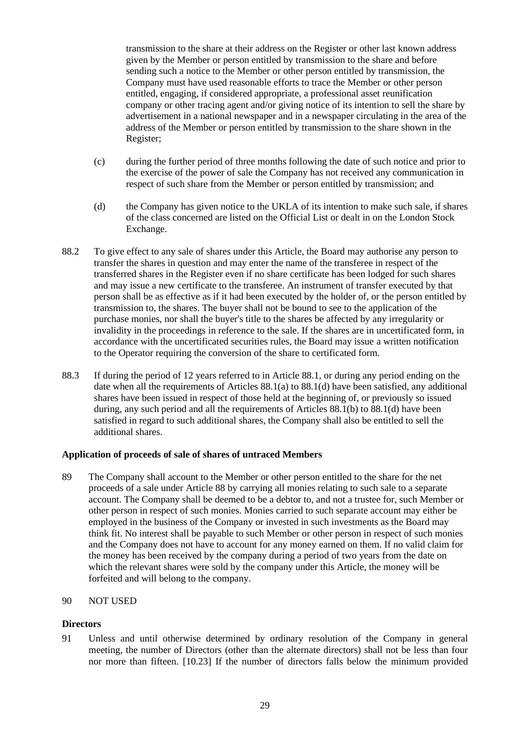transmission to the share at their address on the Register or other last known address given by the Member or person entitled by transmission to the share and before sending such a notice to the Member or other person entitled by transmission, the Company must have used reasonable efforts to trace the Member or other person entitled, engaging, if considered appropriate, a professional asset reunification company or other tracing agent and/or giving notice of its intention to sell the share by advertisement in a national newspaper and in a newspaper circulating in the area of the address of the Member or person entitled by transmission to the share shown in the Register;

- (c) during the further period of three months following the date of such notice and prior to the exercise of the power of sale the Company has not received any communication in respect of such share from the Member or person entitled by transmission; and
- (d) the Company has given notice to the UKLA of its intention to make such sale, if shares of the class concerned are listed on the Official List or dealt in on the London Stock Exchange.
- 88.2 To give effect to any sale of shares under this Article, the Board may authorise any person to transfer the shares in question and may enter the name of the transferee in respect of the transferred shares in the Register even if no share certificate has been lodged for such shares and may issue a new certificate to the transferee. An instrument of transfer executed by that person shall be as effective as if it had been executed by the holder of, or the person entitled by transmission to, the shares. The buyer shall not be bound to see to the application of the purchase monies, nor shall the buyer's title to the shares be affected by any irregularity or invalidity in the proceedings in reference to the sale. If the shares are in uncertificated form, in accordance with the uncertificated securities rules, the Board may issue a written notification to the Operator requiring the conversion of the share to certificated form.
- 88.3 If during the period of 12 years referred to in Article 88.1, or during any period ending on the date when all the requirements of Articles 88.1(a) to 88.1(d) have been satisfied, any additional shares have been issued in respect of those held at the beginning of, or previously so issued during, any such period and all the requirements of Articles 88.1(b) to 88.1(d) have been satisfied in regard to such additional shares, the Company shall also be entitled to sell the additional shares.

### **Application of proceeds of sale of shares of untraced Members**

89 The Company shall account to the Member or other person entitled to the share for the net proceeds of a sale under Article 88 by carrying all monies relating to such sale to a separate account. The Company shall be deemed to be a debtor to, and not a trustee for, such Member or other person in respect of such monies. Monies carried to such separate account may either be employed in the business of the Company or invested in such investments as the Board may think fit. No interest shall be payable to such Member or other person in respect of such monies and the Company does not have to account for any money earned on them. If no valid claim for the money has been received by the company during a period of two years from the date on which the relevant shares were sold by the company under this Article, the money will be forfeited and will belong to the company.

### 90 NOT USED

### **Directors**

91 Unless and until otherwise determined by ordinary resolution of the Company in general meeting, the number of Directors (other than the alternate directors) shall not be less than four nor more than fifteen. [10.23] If the number of directors falls below the minimum provided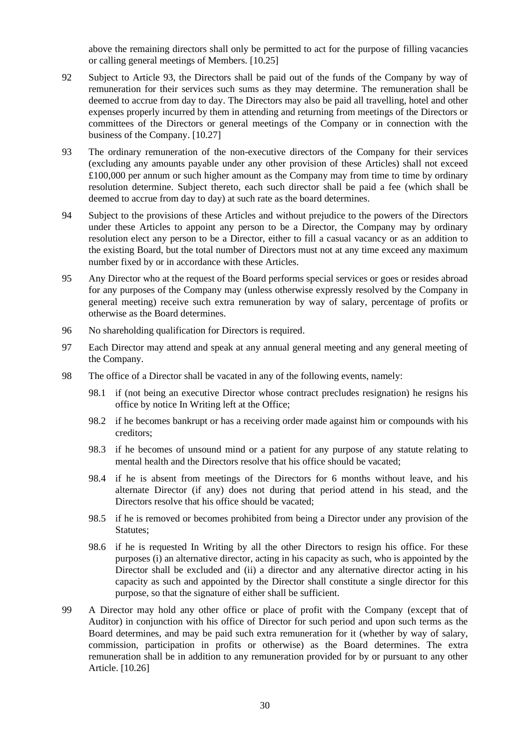above the remaining directors shall only be permitted to act for the purpose of filling vacancies or calling general meetings of Members. [10.25]

- 92 Subject to Article 93, the Directors shall be paid out of the funds of the Company by way of remuneration for their services such sums as they may determine. The remuneration shall be deemed to accrue from day to day. The Directors may also be paid all travelling, hotel and other expenses properly incurred by them in attending and returning from meetings of the Directors or committees of the Directors or general meetings of the Company or in connection with the business of the Company. [10.27]
- 93 The ordinary remuneration of the non-executive directors of the Company for their services (excluding any amounts payable under any other provision of these Articles) shall not exceed £100,000 per annum or such higher amount as the Company may from time to time by ordinary resolution determine. Subject thereto, each such director shall be paid a fee (which shall be deemed to accrue from day to day) at such rate as the board determines.
- 94 Subject to the provisions of these Articles and without prejudice to the powers of the Directors under these Articles to appoint any person to be a Director, the Company may by ordinary resolution elect any person to be a Director, either to fill a casual vacancy or as an addition to the existing Board, but the total number of Directors must not at any time exceed any maximum number fixed by or in accordance with these Articles.
- 95 Any Director who at the request of the Board performs special services or goes or resides abroad for any purposes of the Company may (unless otherwise expressly resolved by the Company in general meeting) receive such extra remuneration by way of salary, percentage of profits or otherwise as the Board determines.
- 96 No shareholding qualification for Directors is required.
- 97 Each Director may attend and speak at any annual general meeting and any general meeting of the Company.
- 98 The office of a Director shall be vacated in any of the following events, namely:
	- 98.1 if (not being an executive Director whose contract precludes resignation) he resigns his office by notice In Writing left at the Office;
	- 98.2 if he becomes bankrupt or has a receiving order made against him or compounds with his creditors;
	- 98.3 if he becomes of unsound mind or a patient for any purpose of any statute relating to mental health and the Directors resolve that his office should be vacated;
	- 98.4 if he is absent from meetings of the Directors for 6 months without leave, and his alternate Director (if any) does not during that period attend in his stead, and the Directors resolve that his office should be vacated;
	- 98.5 if he is removed or becomes prohibited from being a Director under any provision of the Statutes;
	- 98.6 if he is requested In Writing by all the other Directors to resign his office. For these purposes (i) an alternative director, acting in his capacity as such, who is appointed by the Director shall be excluded and (ii) a director and any alternative director acting in his capacity as such and appointed by the Director shall constitute a single director for this purpose, so that the signature of either shall be sufficient.
- 99 A Director may hold any other office or place of profit with the Company (except that of Auditor) in conjunction with his office of Director for such period and upon such terms as the Board determines, and may be paid such extra remuneration for it (whether by way of salary, commission, participation in profits or otherwise) as the Board determines. The extra remuneration shall be in addition to any remuneration provided for by or pursuant to any other Article. [10.26]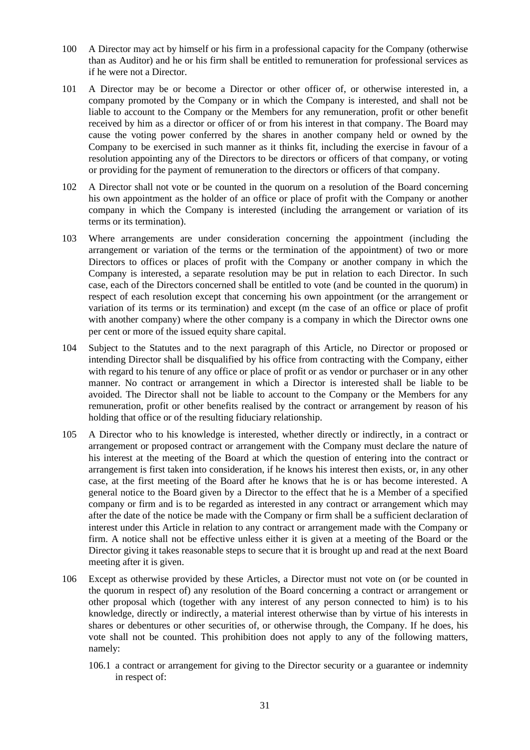- 100 A Director may act by himself or his firm in a professional capacity for the Company (otherwise than as Auditor) and he or his firm shall be entitled to remuneration for professional services as if he were not a Director.
- 101 A Director may be or become a Director or other officer of, or otherwise interested in, a company promoted by the Company or in which the Company is interested, and shall not be liable to account to the Company or the Members for any remuneration, profit or other benefit received by him as a director or officer of or from his interest in that company. The Board may cause the voting power conferred by the shares in another company held or owned by the Company to be exercised in such manner as it thinks fit, including the exercise in favour of a resolution appointing any of the Directors to be directors or officers of that company, or voting or providing for the payment of remuneration to the directors or officers of that company.
- 102 A Director shall not vote or be counted in the quorum on a resolution of the Board concerning his own appointment as the holder of an office or place of profit with the Company or another company in which the Company is interested (including the arrangement or variation of its terms or its termination).
- 103 Where arrangements are under consideration concerning the appointment (including the arrangement or variation of the terms or the termination of the appointment) of two or more Directors to offices or places of profit with the Company or another company in which the Company is interested, a separate resolution may be put in relation to each Director. In such case, each of the Directors concerned shall be entitled to vote (and be counted in the quorum) in respect of each resolution except that concerning his own appointment (or the arrangement or variation of its terms or its termination) and except (m the case of an office or place of profit with another company) where the other company is a company in which the Director owns one per cent or more of the issued equity share capital.
- 104 Subject to the Statutes and to the next paragraph of this Article, no Director or proposed or intending Director shall be disqualified by his office from contracting with the Company, either with regard to his tenure of any office or place of profit or as vendor or purchaser or in any other manner. No contract or arrangement in which a Director is interested shall be liable to be avoided. The Director shall not be liable to account to the Company or the Members for any remuneration, profit or other benefits realised by the contract or arrangement by reason of his holding that office or of the resulting fiduciary relationship.
- 105 A Director who to his knowledge is interested, whether directly or indirectly, in a contract or arrangement or proposed contract or arrangement with the Company must declare the nature of his interest at the meeting of the Board at which the question of entering into the contract or arrangement is first taken into consideration, if he knows his interest then exists, or, in any other case, at the first meeting of the Board after he knows that he is or has become interested. A general notice to the Board given by a Director to the effect that he is a Member of a specified company or firm and is to be regarded as interested in any contract or arrangement which may after the date of the notice be made with the Company or firm shall be a sufficient declaration of interest under this Article in relation to any contract or arrangement made with the Company or firm. A notice shall not be effective unless either it is given at a meeting of the Board or the Director giving it takes reasonable steps to secure that it is brought up and read at the next Board meeting after it is given.
- 106 Except as otherwise provided by these Articles, a Director must not vote on (or be counted in the quorum in respect of) any resolution of the Board concerning a contract or arrangement or other proposal which (together with any interest of any person connected to him) is to his knowledge, directly or indirectly, a material interest otherwise than by virtue of his interests in shares or debentures or other securities of, or otherwise through, the Company. If he does, his vote shall not be counted. This prohibition does not apply to any of the following matters, namely:
	- 106.1 a contract or arrangement for giving to the Director security or a guarantee or indemnity in respect of: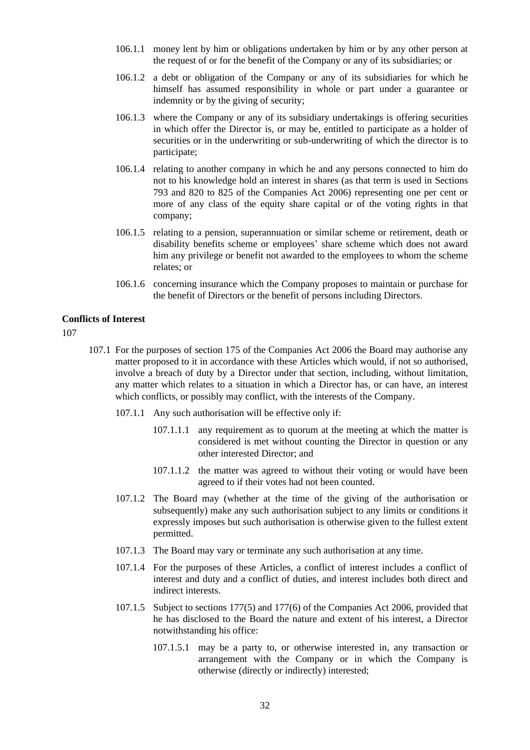- 106.1.1 money lent by him or obligations undertaken by him or by any other person at the request of or for the benefit of the Company or any of its subsidiaries; or
- 106.1.2 a debt or obligation of the Company or any of its subsidiaries for which he himself has assumed responsibility in whole or part under a guarantee or indemnity or by the giving of security;
- 106.1.3 where the Company or any of its subsidiary undertakings is offering securities in which offer the Director is, or may be, entitled to participate as a holder of securities or in the underwriting or sub-underwriting of which the director is to participate;
- 106.1.4 relating to another company in which he and any persons connected to him do not to his knowledge hold an interest in shares (as that term is used in Sections 793 and 820 to 825 of the Companies Act 2006) representing one per cent or more of any class of the equity share capital or of the voting rights in that company;
- 106.1.5 relating to a pension, superannuation or similar scheme or retirement, death or disability benefits scheme or employees' share scheme which does not award him any privilege or benefit not awarded to the employees to whom the scheme relates; or
- 106.1.6 concerning insurance which the Company proposes to maintain or purchase for the benefit of Directors or the benefit of persons including Directors.

## **Conflicts of Interest**

107

- 107.1 For the purposes of section 175 of the Companies Act 2006 the Board may authorise any matter proposed to it in accordance with these Articles which would, if not so authorised, involve a breach of duty by a Director under that section, including, without limitation, any matter which relates to a situation in which a Director has, or can have, an interest which conflicts, or possibly may conflict, with the interests of the Company.
	- 107.1.1 Any such authorisation will be effective only if:
		- 107.1.1.1 any requirement as to quorum at the meeting at which the matter is considered is met without counting the Director in question or any other interested Director; and
		- 107.1.1.2 the matter was agreed to without their voting or would have been agreed to if their votes had not been counted.
	- 107.1.2 The Board may (whether at the time of the giving of the authorisation or subsequently) make any such authorisation subject to any limits or conditions it expressly imposes but such authorisation is otherwise given to the fullest extent permitted.
	- 107.1.3 The Board may vary or terminate any such authorisation at any time.
	- 107.1.4 For the purposes of these Articles, a conflict of interest includes a conflict of interest and duty and a conflict of duties, and interest includes both direct and indirect interests.
	- 107.1.5 Subject to sections 177(5) and 177(6) of the Companies Act 2006, provided that he has disclosed to the Board the nature and extent of his interest, a Director notwithstanding his office:
		- 107.1.5.1 may be a party to, or otherwise interested in, any transaction or arrangement with the Company or in which the Company is otherwise (directly or indirectly) interested;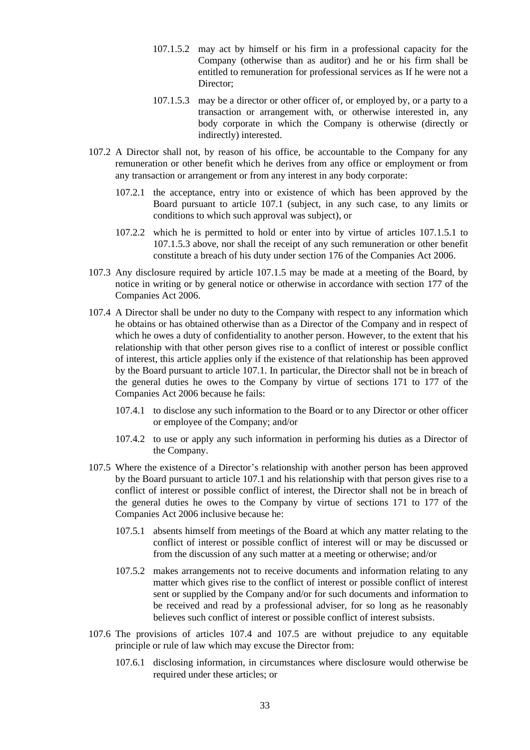- 107.1.5.2 may act by himself or his firm in a professional capacity for the Company (otherwise than as auditor) and he or his firm shall be entitled to remuneration for professional services as If he were not a Director;
- 107.1.5.3 may be a director or other officer of, or employed by, or a party to a transaction or arrangement with, or otherwise interested in, any body corporate in which the Company is otherwise (directly or indirectly) interested.
- 107.2 A Director shall not, by reason of his office, be accountable to the Company for any remuneration or other benefit which he derives from any office or employment or from any transaction or arrangement or from any interest in any body corporate:
	- 107.2.1 the acceptance, entry into or existence of which has been approved by the Board pursuant to article 107.1 (subject, in any such case, to any limits or conditions to which such approval was subject), or
	- 107.2.2 which he is permitted to hold or enter into by virtue of articles 107.1.5.1 to 107.1.5.3 above, nor shall the receipt of any such remuneration or other benefit constitute a breach of his duty under section 176 of the Companies Act 2006.
- 107.3 Any disclosure required by article 107.1.5 may be made at a meeting of the Board, by notice in writing or by general notice or otherwise in accordance with section 177 of the Companies Act 2006.
- 107.4 A Director shall be under no duty to the Company with respect to any information which he obtains or has obtained otherwise than as a Director of the Company and in respect of which he owes a duty of confidentiality to another person. However, to the extent that his relationship with that other person gives rise to a conflict of interest or possible conflict of interest, this article applies only if the existence of that relationship has been approved by the Board pursuant to article 107.1. In particular, the Director shall not be in breach of the general duties he owes to the Company by virtue of sections 171 to 177 of the Companies Act 2006 because he fails:
	- 107.4.1 to disclose any such information to the Board or to any Director or other officer or employee of the Company; and/or
	- 107.4.2 to use or apply any such information in performing his duties as a Director of the Company.
- 107.5 Where the existence of a Director's relationship with another person has been approved by the Board pursuant to article 107.1 and his relationship with that person gives rise to a conflict of interest or possible conflict of interest, the Director shall not be in breach of the general duties he owes to the Company by virtue of sections 171 to 177 of the Companies Act 2006 inclusive because he:
	- 107.5.1 absents himself from meetings of the Board at which any matter relating to the conflict of interest or possible conflict of interest will or may be discussed or from the discussion of any such matter at a meeting or otherwise; and/or
	- 107.5.2 makes arrangements not to receive documents and information relating to any matter which gives rise to the conflict of interest or possible conflict of interest sent or supplied by the Company and/or for such documents and information to be received and read by a professional adviser, for so long as he reasonably believes such conflict of interest or possible conflict of interest subsists.
- 107.6 The provisions of articles 107.4 and 107.5 are without prejudice to any equitable principle or rule of law which may excuse the Director from:
	- 107.6.1 disclosing information, in circumstances where disclosure would otherwise be required under these articles; or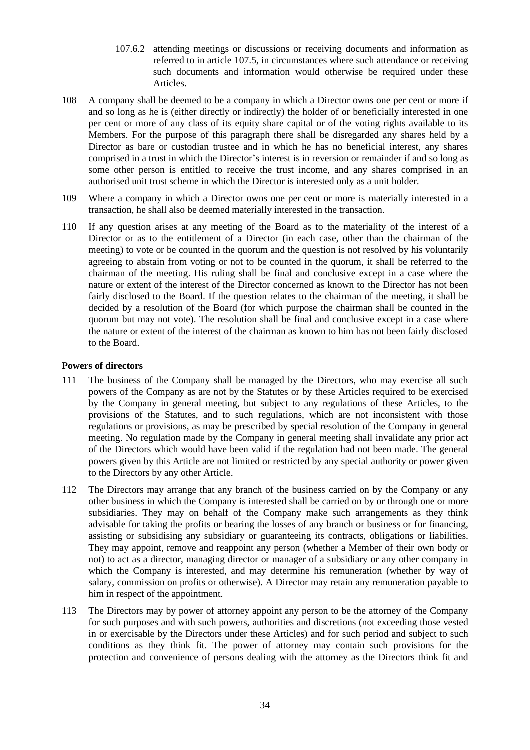- 107.6.2 attending meetings or discussions or receiving documents and information as referred to in article 107.5, in circumstances where such attendance or receiving such documents and information would otherwise be required under these Articles.
- 108 A company shall be deemed to be a company in which a Director owns one per cent or more if and so long as he is (either directly or indirectly) the holder of or beneficially interested in one per cent or more of any class of its equity share capital or of the voting rights available to its Members. For the purpose of this paragraph there shall be disregarded any shares held by a Director as bare or custodian trustee and in which he has no beneficial interest, any shares comprised in a trust in which the Director's interest is in reversion or remainder if and so long as some other person is entitled to receive the trust income, and any shares comprised in an authorised unit trust scheme in which the Director is interested only as a unit holder.
- 109 Where a company in which a Director owns one per cent or more is materially interested in a transaction, he shall also be deemed materially interested in the transaction.
- 110 If any question arises at any meeting of the Board as to the materiality of the interest of a Director or as to the entitlement of a Director (in each case, other than the chairman of the meeting) to vote or be counted in the quorum and the question is not resolved by his voluntarily agreeing to abstain from voting or not to be counted in the quorum, it shall be referred to the chairman of the meeting. His ruling shall be final and conclusive except in a case where the nature or extent of the interest of the Director concerned as known to the Director has not been fairly disclosed to the Board. If the question relates to the chairman of the meeting, it shall be decided by a resolution of the Board (for which purpose the chairman shall be counted in the quorum but may not vote). The resolution shall be final and conclusive except in a case where the nature or extent of the interest of the chairman as known to him has not been fairly disclosed to the Board.

## **Powers of directors**

- 111 The business of the Company shall be managed by the Directors, who may exercise all such powers of the Company as are not by the Statutes or by these Articles required to be exercised by the Company in general meeting, but subject to any regulations of these Articles, to the provisions of the Statutes, and to such regulations, which are not inconsistent with those regulations or provisions, as may be prescribed by special resolution of the Company in general meeting. No regulation made by the Company in general meeting shall invalidate any prior act of the Directors which would have been valid if the regulation had not been made. The general powers given by this Article are not limited or restricted by any special authority or power given to the Directors by any other Article.
- 112 The Directors may arrange that any branch of the business carried on by the Company or any other business in which the Company is interested shall be carried on by or through one or more subsidiaries. They may on behalf of the Company make such arrangements as they think advisable for taking the profits or bearing the losses of any branch or business or for financing, assisting or subsidising any subsidiary or guaranteeing its contracts, obligations or liabilities. They may appoint, remove and reappoint any person (whether a Member of their own body or not) to act as a director, managing director or manager of a subsidiary or any other company in which the Company is interested, and may determine his remuneration (whether by way of salary, commission on profits or otherwise). A Director may retain any remuneration payable to him in respect of the appointment.
- 113 The Directors may by power of attorney appoint any person to be the attorney of the Company for such purposes and with such powers, authorities and discretions (not exceeding those vested in or exercisable by the Directors under these Articles) and for such period and subject to such conditions as they think fit. The power of attorney may contain such provisions for the protection and convenience of persons dealing with the attorney as the Directors think fit and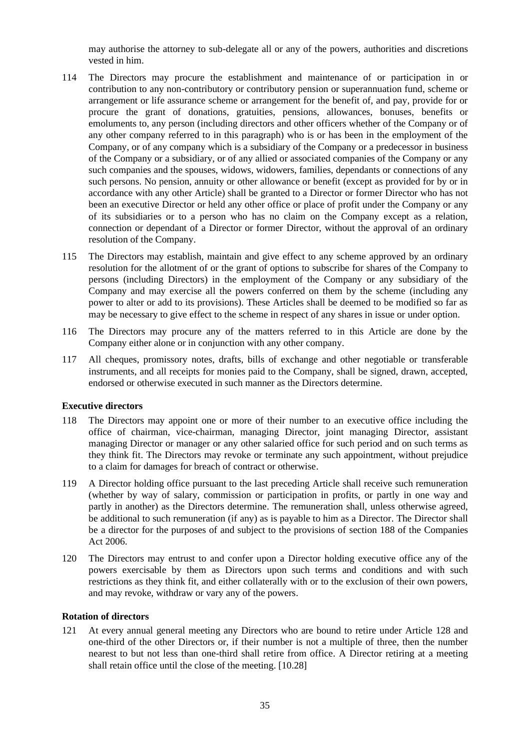may authorise the attorney to sub-delegate all or any of the powers, authorities and discretions vested in him.

- 114 The Directors may procure the establishment and maintenance of or participation in or contribution to any non-contributory or contributory pension or superannuation fund, scheme or arrangement or life assurance scheme or arrangement for the benefit of, and pay, provide for or procure the grant of donations, gratuities, pensions, allowances, bonuses, benefits or emoluments to, any person (including directors and other officers whether of the Company or of any other company referred to in this paragraph) who is or has been in the employment of the Company, or of any company which is a subsidiary of the Company or a predecessor in business of the Company or a subsidiary, or of any allied or associated companies of the Company or any such companies and the spouses, widows, widowers, families, dependants or connections of any such persons. No pension, annuity or other allowance or benefit (except as provided for by or in accordance with any other Article) shall be granted to a Director or former Director who has not been an executive Director or held any other office or place of profit under the Company or any of its subsidiaries or to a person who has no claim on the Company except as a relation, connection or dependant of a Director or former Director, without the approval of an ordinary resolution of the Company.
- 115 The Directors may establish, maintain and give effect to any scheme approved by an ordinary resolution for the allotment of or the grant of options to subscribe for shares of the Company to persons (including Directors) in the employment of the Company or any subsidiary of the Company and may exercise all the powers conferred on them by the scheme (including any power to alter or add to its provisions). These Articles shall be deemed to be modified so far as may be necessary to give effect to the scheme in respect of any shares in issue or under option.
- 116 The Directors may procure any of the matters referred to in this Article are done by the Company either alone or in conjunction with any other company.
- 117 All cheques, promissory notes, drafts, bills of exchange and other negotiable or transferable instruments, and all receipts for monies paid to the Company, shall be signed, drawn, accepted, endorsed or otherwise executed in such manner as the Directors determine.

### **Executive directors**

- 118 The Directors may appoint one or more of their number to an executive office including the office of chairman, vice-chairman, managing Director, joint managing Director, assistant managing Director or manager or any other salaried office for such period and on such terms as they think fit. The Directors may revoke or terminate any such appointment, without prejudice to a claim for damages for breach of contract or otherwise.
- 119 A Director holding office pursuant to the last preceding Article shall receive such remuneration (whether by way of salary, commission or participation in profits, or partly in one way and partly in another) as the Directors determine. The remuneration shall, unless otherwise agreed, be additional to such remuneration (if any) as is payable to him as a Director. The Director shall be a director for the purposes of and subject to the provisions of section 188 of the Companies Act 2006.
- 120 The Directors may entrust to and confer upon a Director holding executive office any of the powers exercisable by them as Directors upon such terms and conditions and with such restrictions as they think fit, and either collaterally with or to the exclusion of their own powers, and may revoke, withdraw or vary any of the powers.

### **Rotation of directors**

121 At every annual general meeting any Directors who are bound to retire under Article 128 and one-third of the other Directors or, if their number is not a multiple of three, then the number nearest to but not less than one-third shall retire from office. A Director retiring at a meeting shall retain office until the close of the meeting. [10.28]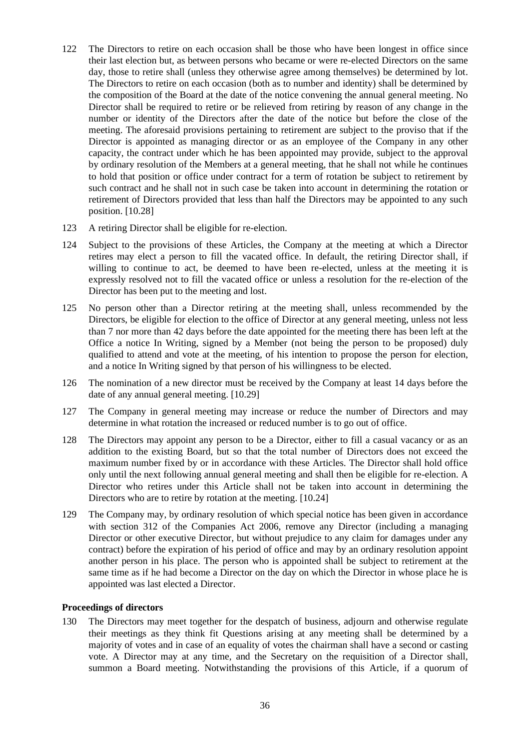- 122 The Directors to retire on each occasion shall be those who have been longest in office since their last election but, as between persons who became or were re-elected Directors on the same day, those to retire shall (unless they otherwise agree among themselves) be determined by lot. The Directors to retire on each occasion (both as to number and identity) shall be determined by the composition of the Board at the date of the notice convening the annual general meeting. No Director shall be required to retire or be relieved from retiring by reason of any change in the number or identity of the Directors after the date of the notice but before the close of the meeting. The aforesaid provisions pertaining to retirement are subject to the proviso that if the Director is appointed as managing director or as an employee of the Company in any other capacity, the contract under which he has been appointed may provide, subject to the approval by ordinary resolution of the Members at a general meeting, that he shall not while he continues to hold that position or office under contract for a term of rotation be subject to retirement by such contract and he shall not in such case be taken into account in determining the rotation or retirement of Directors provided that less than half the Directors may be appointed to any such position. [10.28]
- 123 A retiring Director shall be eligible for re-election.
- 124 Subject to the provisions of these Articles, the Company at the meeting at which a Director retires may elect a person to fill the vacated office. In default, the retiring Director shall, if willing to continue to act, be deemed to have been re-elected, unless at the meeting it is expressly resolved not to fill the vacated office or unless a resolution for the re-election of the Director has been put to the meeting and lost.
- 125 No person other than a Director retiring at the meeting shall, unless recommended by the Directors, be eligible for election to the office of Director at any general meeting, unless not less than 7 nor more than 42 days before the date appointed for the meeting there has been left at the Office a notice In Writing, signed by a Member (not being the person to be proposed) duly qualified to attend and vote at the meeting, of his intention to propose the person for election, and a notice In Writing signed by that person of his willingness to be elected.
- 126 The nomination of a new director must be received by the Company at least 14 days before the date of any annual general meeting. [10.29]
- 127 The Company in general meeting may increase or reduce the number of Directors and may determine in what rotation the increased or reduced number is to go out of office.
- 128 The Directors may appoint any person to be a Director, either to fill a casual vacancy or as an addition to the existing Board, but so that the total number of Directors does not exceed the maximum number fixed by or in accordance with these Articles. The Director shall hold office only until the next following annual general meeting and shall then be eligible for re-election. A Director who retires under this Article shall not be taken into account in determining the Directors who are to retire by rotation at the meeting. [10.24]
- 129 The Company may, by ordinary resolution of which special notice has been given in accordance with section 312 of the Companies Act 2006, remove any Director (including a managing Director or other executive Director, but without prejudice to any claim for damages under any contract) before the expiration of his period of office and may by an ordinary resolution appoint another person in his place. The person who is appointed shall be subject to retirement at the same time as if he had become a Director on the day on which the Director in whose place he is appointed was last elected a Director.

### **Proceedings of directors**

130 The Directors may meet together for the despatch of business, adjourn and otherwise regulate their meetings as they think fit Questions arising at any meeting shall be determined by a majority of votes and in case of an equality of votes the chairman shall have a second or casting vote. A Director may at any time, and the Secretary on the requisition of a Director shall, summon a Board meeting. Notwithstanding the provisions of this Article, if a quorum of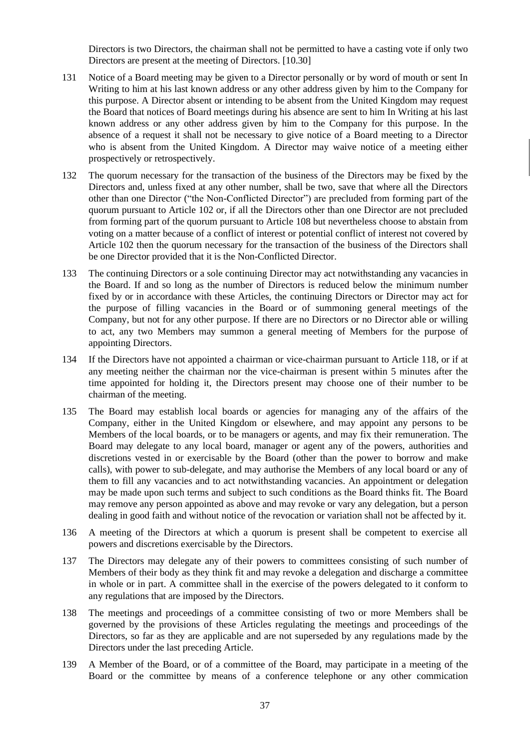Directors is two Directors, the chairman shall not be permitted to have a casting vote if only two Directors are present at the meeting of Directors. [10.30]

- 131 Notice of a Board meeting may be given to a Director personally or by word of mouth or sent In Writing to him at his last known address or any other address given by him to the Company for this purpose. A Director absent or intending to be absent from the United Kingdom may request the Board that notices of Board meetings during his absence are sent to him In Writing at his last known address or any other address given by him to the Company for this purpose. In the absence of a request it shall not be necessary to give notice of a Board meeting to a Director who is absent from the United Kingdom. A Director may waive notice of a meeting either prospectively or retrospectively.
- 132 The quorum necessary for the transaction of the business of the Directors may be fixed by the Directors and, unless fixed at any other number, shall be two, save that where all the Directors other than one Director ("the Non-Conflicted Director") are precluded from forming part of the quorum pursuant to Article 102 or, if all the Directors other than one Director are not precluded from forming part of the quorum pursuant to Article 108 but nevertheless choose to abstain from voting on a matter because of a conflict of interest or potential conflict of interest not covered by Article 102 then the quorum necessary for the transaction of the business of the Directors shall be one Director provided that it is the Non-Conflicted Director.
- 133 The continuing Directors or a sole continuing Director may act notwithstanding any vacancies in the Board. If and so long as the number of Directors is reduced below the minimum number fixed by or in accordance with these Articles, the continuing Directors or Director may act for the purpose of filling vacancies in the Board or of summoning general meetings of the Company, but not for any other purpose. If there are no Directors or no Director able or willing to act, any two Members may summon a general meeting of Members for the purpose of appointing Directors.
- 134 If the Directors have not appointed a chairman or vice-chairman pursuant to Article 118, or if at any meeting neither the chairman nor the vice-chairman is present within 5 minutes after the time appointed for holding it, the Directors present may choose one of their number to be chairman of the meeting.
- 135 The Board may establish local boards or agencies for managing any of the affairs of the Company, either in the United Kingdom or elsewhere, and may appoint any persons to be Members of the local boards, or to be managers or agents, and may fix their remuneration. The Board may delegate to any local board, manager or agent any of the powers, authorities and discretions vested in or exercisable by the Board (other than the power to borrow and make calls), with power to sub-delegate, and may authorise the Members of any local board or any of them to fill any vacancies and to act notwithstanding vacancies. An appointment or delegation may be made upon such terms and subject to such conditions as the Board thinks fit. The Board may remove any person appointed as above and may revoke or vary any delegation, but a person dealing in good faith and without notice of the revocation or variation shall not be affected by it.
- 136 A meeting of the Directors at which a quorum is present shall be competent to exercise all powers and discretions exercisable by the Directors.
- 137 The Directors may delegate any of their powers to committees consisting of such number of Members of their body as they think fit and may revoke a delegation and discharge a committee in whole or in part. A committee shall in the exercise of the powers delegated to it conform to any regulations that are imposed by the Directors.
- 138 The meetings and proceedings of a committee consisting of two or more Members shall be governed by the provisions of these Articles regulating the meetings and proceedings of the Directors, so far as they are applicable and are not superseded by any regulations made by the Directors under the last preceding Article.
- 139 A Member of the Board, or of a committee of the Board, may participate in a meeting of the Board or the committee by means of a conference telephone or any other commication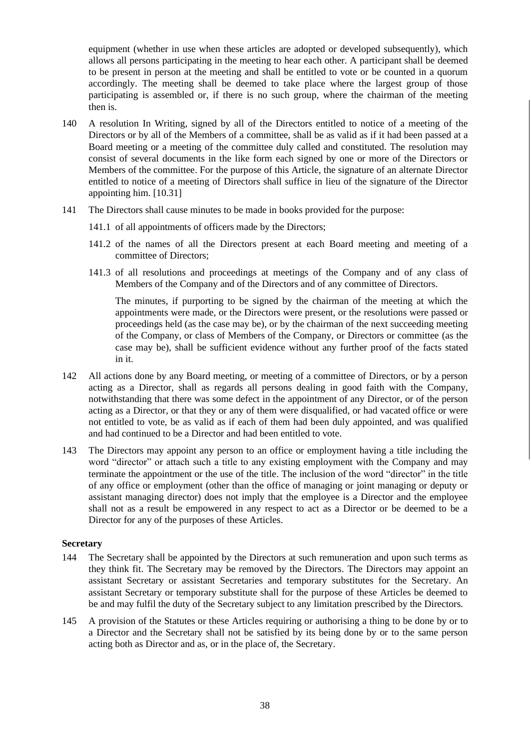equipment (whether in use when these articles are adopted or developed subsequently), which allows all persons participating in the meeting to hear each other. A participant shall be deemed to be present in person at the meeting and shall be entitled to vote or be counted in a quorum accordingly. The meeting shall be deemed to take place where the largest group of those participating is assembled or, if there is no such group, where the chairman of the meeting then is.

- 140 A resolution In Writing, signed by all of the Directors entitled to notice of a meeting of the Directors or by all of the Members of a committee, shall be as valid as if it had been passed at a Board meeting or a meeting of the committee duly called and constituted. The resolution may consist of several documents in the like form each signed by one or more of the Directors or Members of the committee. For the purpose of this Article, the signature of an alternate Director entitled to notice of a meeting of Directors shall suffice in lieu of the signature of the Director appointing him. [10.31]
- 141 The Directors shall cause minutes to be made in books provided for the purpose:
	- 141.1 of all appointments of officers made by the Directors;
	- 141.2 of the names of all the Directors present at each Board meeting and meeting of a committee of Directors;
	- 141.3 of all resolutions and proceedings at meetings of the Company and of any class of Members of the Company and of the Directors and of any committee of Directors.

The minutes, if purporting to be signed by the chairman of the meeting at which the appointments were made, or the Directors were present, or the resolutions were passed or proceedings held (as the case may be), or by the chairman of the next succeeding meeting of the Company, or class of Members of the Company, or Directors or committee (as the case may be), shall be sufficient evidence without any further proof of the facts stated in it.

- 142 All actions done by any Board meeting, or meeting of a committee of Directors, or by a person acting as a Director, shall as regards all persons dealing in good faith with the Company, notwithstanding that there was some defect in the appointment of any Director, or of the person acting as a Director, or that they or any of them were disqualified, or had vacated office or were not entitled to vote, be as valid as if each of them had been duly appointed, and was qualified and had continued to be a Director and had been entitled to vote.
- 143 The Directors may appoint any person to an office or employment having a title including the word "director" or attach such a title to any existing employment with the Company and may terminate the appointment or the use of the title. The inclusion of the word "director" in the title of any office or employment (other than the office of managing or joint managing or deputy or assistant managing director) does not imply that the employee is a Director and the employee shall not as a result be empowered in any respect to act as a Director or be deemed to be a Director for any of the purposes of these Articles.

### **Secretary**

- 144 The Secretary shall be appointed by the Directors at such remuneration and upon such terms as they think fit. The Secretary may be removed by the Directors. The Directors may appoint an assistant Secretary or assistant Secretaries and temporary substitutes for the Secretary. An assistant Secretary or temporary substitute shall for the purpose of these Articles be deemed to be and may fulfil the duty of the Secretary subject to any limitation prescribed by the Directors.
- 145 A provision of the Statutes or these Articles requiring or authorising a thing to be done by or to a Director and the Secretary shall not be satisfied by its being done by or to the same person acting both as Director and as, or in the place of, the Secretary.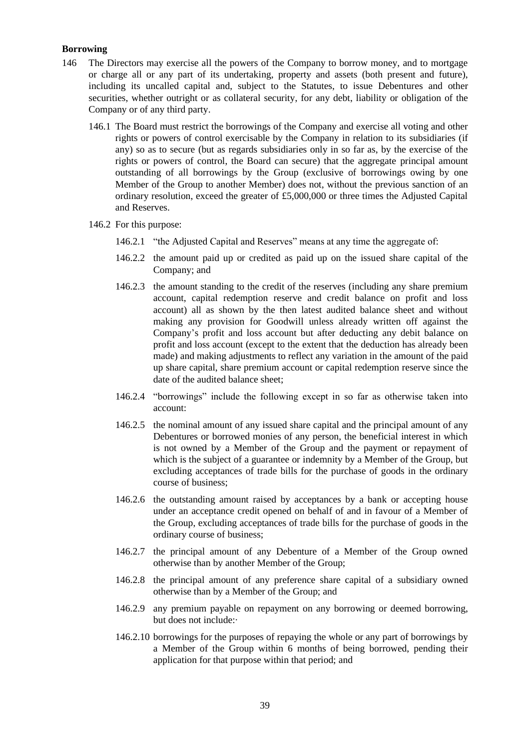### **Borrowing**

- 146 The Directors may exercise all the powers of the Company to borrow money, and to mortgage or charge all or any part of its undertaking, property and assets (both present and future), including its uncalled capital and, subject to the Statutes, to issue Debentures and other securities, whether outright or as collateral security, for any debt, liability or obligation of the Company or of any third party.
	- 146.1 The Board must restrict the borrowings of the Company and exercise all voting and other rights or powers of control exercisable by the Company in relation to its subsidiaries (if any) so as to secure (but as regards subsidiaries only in so far as, by the exercise of the rights or powers of control, the Board can secure) that the aggregate principal amount outstanding of all borrowings by the Group (exclusive of borrowings owing by one Member of the Group to another Member) does not, without the previous sanction of an ordinary resolution, exceed the greater of £5,000,000 or three times the Adjusted Capital and Reserves.
	- 146.2 For this purpose:
		- 146.2.1 "the Adjusted Capital and Reserves" means at any time the aggregate of:
		- 146.2.2 the amount paid up or credited as paid up on the issued share capital of the Company; and
		- 146.2.3 the amount standing to the credit of the reserves (including any share premium account, capital redemption reserve and credit balance on profit and loss account) all as shown by the then latest audited balance sheet and without making any provision for Goodwill unless already written off against the Company's profit and loss account but after deducting any debit balance on profit and loss account (except to the extent that the deduction has already been made) and making adjustments to reflect any variation in the amount of the paid up share capital, share premium account or capital redemption reserve since the date of the audited balance sheet;
		- 146.2.4 "borrowings" include the following except in so far as otherwise taken into account:
		- 146.2.5 the nominal amount of any issued share capital and the principal amount of any Debentures or borrowed monies of any person, the beneficial interest in which is not owned by a Member of the Group and the payment or repayment of which is the subject of a guarantee or indemnity by a Member of the Group, but excluding acceptances of trade bills for the purchase of goods in the ordinary course of business;
		- 146.2.6 the outstanding amount raised by acceptances by a bank or accepting house under an acceptance credit opened on behalf of and in favour of a Member of the Group, excluding acceptances of trade bills for the purchase of goods in the ordinary course of business;
		- 146.2.7 the principal amount of any Debenture of a Member of the Group owned otherwise than by another Member of the Group;
		- 146.2.8 the principal amount of any preference share capital of a subsidiary owned otherwise than by a Member of the Group; and
		- 146.2.9 any premium payable on repayment on any borrowing or deemed borrowing, but does not include:·
		- 146.2.10 borrowings for the purposes of repaying the whole or any part of borrowings by a Member of the Group within 6 months of being borrowed, pending their application for that purpose within that period; and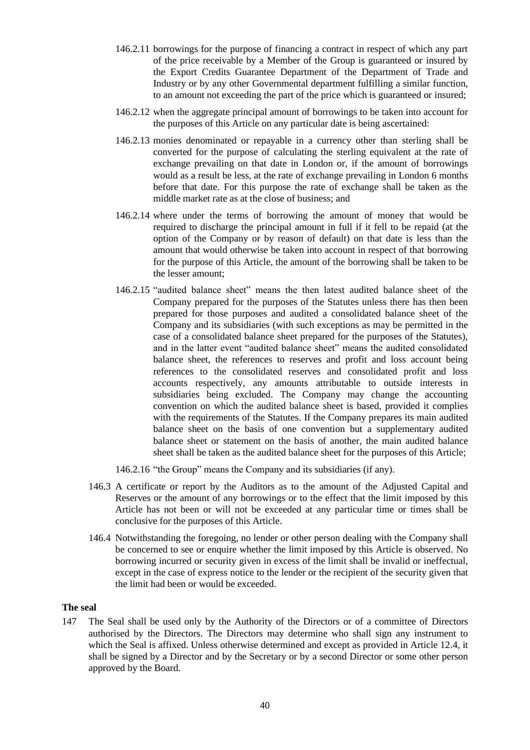- 146.2.11 borrowings for the purpose of financing a contract in respect of which any part of the price receivable by a Member of the Group is guaranteed or insured by the Export Credits Guarantee Department of the Department of Trade and Industry or by any other Governmental department fulfilling a similar function, to an amount not exceeding the part of the price which is guaranteed or insured;
- 146.2.12 when the aggregate principal amount of borrowings to be taken into account for the purposes of this Article on any particular date is being ascertained:
- 146.2.13 monies denominated or repayable in a currency other than sterling shall be converted for the purpose of calculating the sterling equivalent at the rate of exchange prevailing on that date in London or, if the amount of borrowings would as a result be less, at the rate of exchange prevailing in London 6 months before that date. For this purpose the rate of exchange shall be taken as the middle market rate as at the close of business; and
- 146.2.14 where under the terms of borrowing the amount of money that would be required to discharge the principal amount in full if it fell to be repaid (at the option of the Company or by reason of default) on that date is less than the amount that would otherwise be taken into account in respect of that borrowing for the purpose of this Article, the amount of the borrowing shall be taken to be the lesser amount;
- 146.2.15 "audited balance sheet" means the then latest audited balance sheet of the Company prepared for the purposes of the Statutes unless there has then been prepared for those purposes and audited a consolidated balance sheet of the Company and its subsidiaries (with such exceptions as may be permitted in the case of a consolidated balance sheet prepared for the purposes of the Statutes), and in the latter event "audited balance sheet" means the audited consolidated balance sheet, the references to reserves and profit and loss account being references to the consolidated reserves and consolidated profit and loss accounts respectively, any amounts attributable to outside interests in subsidiaries being excluded. The Company may change the accounting convention on which the audited balance sheet is based, provided it complies with the requirements of the Statutes. If the Company prepares its main audited balance sheet on the basis of one convention but a supplementary audited balance sheet or statement on the basis of another, the main audited balance sheet shall be taken as the audited balance sheet for the purposes of this Article;
- 146.2.16 "the Group" means the Company and its subsidiaries (if any).
- 146.3 A certificate or report by the Auditors as to the amount of the Adjusted Capital and Reserves or the amount of any borrowings or to the effect that the limit imposed by this Article has not been or will not be exceeded at any particular time or times shall be conclusive for the purposes of this Article.
- 146.4 Notwithstanding the foregoing, no lender or other person dealing with the Company shall be concerned to see or enquire whether the limit imposed by this Article is observed. No borrowing incurred or security given in excess of the limit shall be invalid or ineffectual, except in the case of express notice to the lender or the recipient of the security given that the limit had been or would be exceeded.

#### **The seal**

147 The Seal shall be used only by the Authority of the Directors or of a committee of Directors authorised by the Directors. The Directors may determine who shall sign any instrument to which the Seal is affixed. Unless otherwise determined and except as provided in Article 12.4, it shall be signed by a Director and by the Secretary or by a second Director or some other person approved by the Board.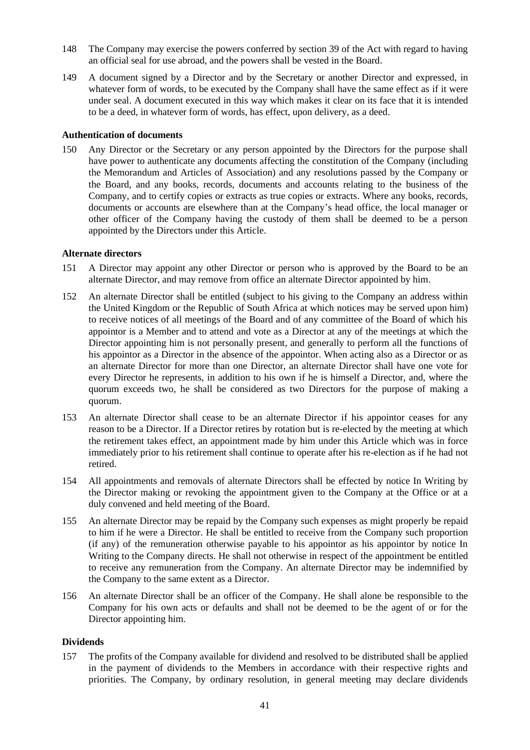- 148 The Company may exercise the powers conferred by section 39 of the Act with regard to having an official seal for use abroad, and the powers shall be vested in the Board.
- 149 A document signed by a Director and by the Secretary or another Director and expressed, in whatever form of words, to be executed by the Company shall have the same effect as if it were under seal. A document executed in this way which makes it clear on its face that it is intended to be a deed, in whatever form of words, has effect, upon delivery, as a deed.

#### **Authentication of documents**

150 Any Director or the Secretary or any person appointed by the Directors for the purpose shall have power to authenticate any documents affecting the constitution of the Company (including the Memorandum and Articles of Association) and any resolutions passed by the Company or the Board, and any books, records, documents and accounts relating to the business of the Company, and to certify copies or extracts as true copies or extracts. Where any books, records, documents or accounts are elsewhere than at the Company's head office, the local manager or other officer of the Company having the custody of them shall be deemed to be a person appointed by the Directors under this Article.

#### **Alternate directors**

- 151 A Director may appoint any other Director or person who is approved by the Board to be an alternate Director, and may remove from office an alternate Director appointed by him.
- 152 An alternate Director shall be entitled (subject to his giving to the Company an address within the United Kingdom or the Republic of South Africa at which notices may be served upon him) to receive notices of all meetings of the Board and of any committee of the Board of which his appointor is a Member and to attend and vote as a Director at any of the meetings at which the Director appointing him is not personally present, and generally to perform all the functions of his appointor as a Director in the absence of the appointor. When acting also as a Director or as an alternate Director for more than one Director, an alternate Director shall have one vote for every Director he represents, in addition to his own if he is himself a Director, and, where the quorum exceeds two, he shall be considered as two Directors for the purpose of making a quorum.
- 153 An alternate Director shall cease to be an alternate Director if his appointor ceases for any reason to be a Director. If a Director retires by rotation but is re-elected by the meeting at which the retirement takes effect, an appointment made by him under this Article which was in force immediately prior to his retirement shall continue to operate after his re-election as if he had not retired.
- 154 All appointments and removals of alternate Directors shall be effected by notice In Writing by the Director making or revoking the appointment given to the Company at the Office or at a duly convened and held meeting of the Board.
- 155 An alternate Director may be repaid by the Company such expenses as might properly be repaid to him if he were a Director. He shall be entitled to receive from the Company such proportion (if any) of the remuneration otherwise payable to his appointor as his appointor by notice In Writing to the Company directs. He shall not otherwise in respect of the appointment be entitled to receive any remuneration from the Company. An alternate Director may be indemnified by the Company to the same extent as a Director.
- 156 An alternate Director shall be an officer of the Company. He shall alone be responsible to the Company for his own acts or defaults and shall not be deemed to be the agent of or for the Director appointing him.

### **Dividends**

157 The profits of the Company available for dividend and resolved to be distributed shall be applied in the payment of dividends to the Members in accordance with their respective rights and priorities. The Company, by ordinary resolution, in general meeting may declare dividends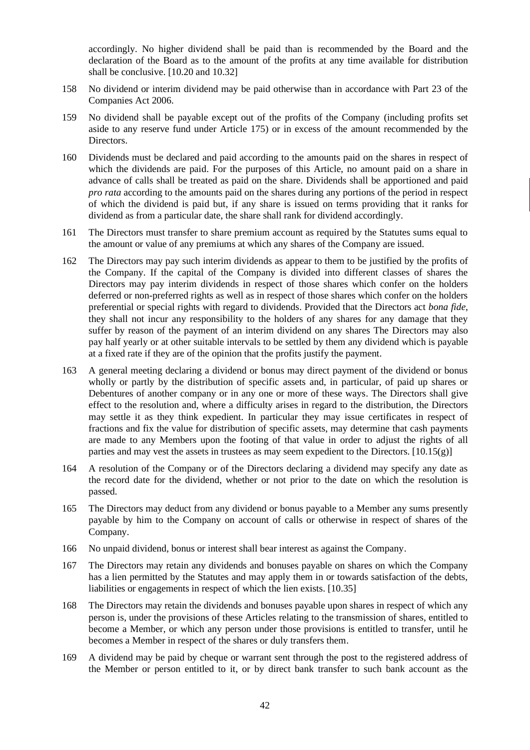accordingly. No higher dividend shall be paid than is recommended by the Board and the declaration of the Board as to the amount of the profits at any time available for distribution shall be conclusive. [10.20 and 10.32]

- 158 No dividend or interim dividend may be paid otherwise than in accordance with Part 23 of the Companies Act 2006.
- 159 No dividend shall be payable except out of the profits of the Company (including profits set aside to any reserve fund under Article 175) or in excess of the amount recommended by the Directors.
- 160 Dividends must be declared and paid according to the amounts paid on the shares in respect of which the dividends are paid. For the purposes of this Article, no amount paid on a share in advance of calls shall be treated as paid on the share. Dividends shall be apportioned and paid *pro rata* according to the amounts paid on the shares during any portions of the period in respect of which the dividend is paid but, if any share is issued on terms providing that it ranks for dividend as from a particular date, the share shall rank for dividend accordingly.
- 161 The Directors must transfer to share premium account as required by the Statutes sums equal to the amount or value of any premiums at which any shares of the Company are issued.
- 162 The Directors may pay such interim dividends as appear to them to be justified by the profits of the Company. If the capital of the Company is divided into different classes of shares the Directors may pay interim dividends in respect of those shares which confer on the holders deferred or non-preferred rights as well as in respect of those shares which confer on the holders preferential or special rights with regard to dividends. Provided that the Directors act *bona fide*, they shall not incur any responsibility to the holders of any shares for any damage that they suffer by reason of the payment of an interim dividend on any shares The Directors may also pay half yearly or at other suitable intervals to be settled by them any dividend which is payable at a fixed rate if they are of the opinion that the profits justify the payment.
- 163 A general meeting declaring a dividend or bonus may direct payment of the dividend or bonus wholly or partly by the distribution of specific assets and, in particular, of paid up shares or Debentures of another company or in any one or more of these ways. The Directors shall give effect to the resolution and, where a difficulty arises in regard to the distribution, the Directors may settle it as they think expedient. In particular they may issue certificates in respect of fractions and fix the value for distribution of specific assets, may determine that cash payments are made to any Members upon the footing of that value in order to adjust the rights of all parties and may vest the assets in trustees as may seem expedient to the Directors.  $[10.15(g)]$
- 164 A resolution of the Company or of the Directors declaring a dividend may specify any date as the record date for the dividend, whether or not prior to the date on which the resolution is passed.
- 165 The Directors may deduct from any dividend or bonus payable to a Member any sums presently payable by him to the Company on account of calls or otherwise in respect of shares of the Company.
- 166 No unpaid dividend, bonus or interest shall bear interest as against the Company.
- 167 The Directors may retain any dividends and bonuses payable on shares on which the Company has a lien permitted by the Statutes and may apply them in or towards satisfaction of the debts, liabilities or engagements in respect of which the lien exists. [10.35]
- 168 The Directors may retain the dividends and bonuses payable upon shares in respect of which any person is, under the provisions of these Articles relating to the transmission of shares, entitled to become a Member, or which any person under those provisions is entitled to transfer, until he becomes a Member in respect of the shares or duly transfers them.
- 169 A dividend may be paid by cheque or warrant sent through the post to the registered address of the Member or person entitled to it, or by direct bank transfer to such bank account as the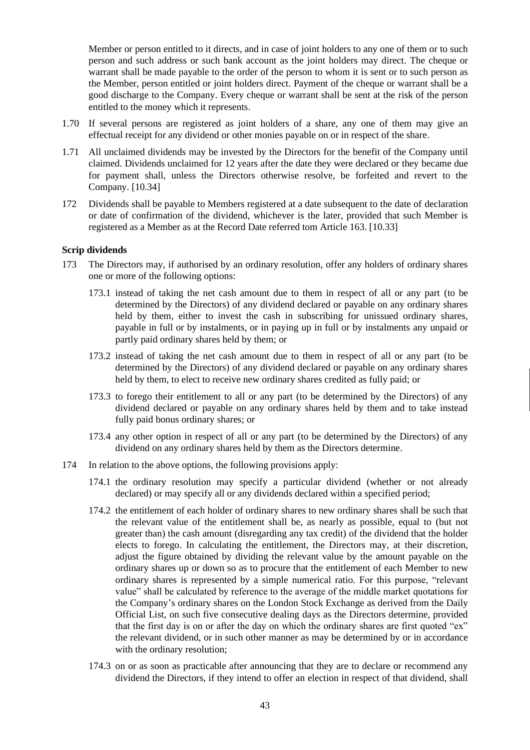Member or person entitled to it directs, and in case of joint holders to any one of them or to such person and such address or such bank account as the joint holders may direct. The cheque or warrant shall be made payable to the order of the person to whom it is sent or to such person as the Member, person entitled or joint holders direct. Payment of the cheque or warrant shall be a good discharge to the Company. Every cheque or warrant shall be sent at the risk of the person entitled to the money which it represents.

- 1.70 If several persons are registered as joint holders of a share, any one of them may give an effectual receipt for any dividend or other monies payable on or in respect of the share.
- 1.71 All unclaimed dividends may be invested by the Directors for the benefit of the Company until claimed. Dividends unclaimed for 12 years after the date they were declared or they became due for payment shall, unless the Directors otherwise resolve, be forfeited and revert to the Company. [10.34]
- 172 Dividends shall be payable to Members registered at a date subsequent to the date of declaration or date of confirmation of the dividend, whichever is the later, provided that such Member is registered as a Member as at the Record Date referred tom Article 163. [10.33]

### **Scrip dividends**

- 173 The Directors may, if authorised by an ordinary resolution, offer any holders of ordinary shares one or more of the following options:
	- 173.1 instead of taking the net cash amount due to them in respect of all or any part (to be determined by the Directors) of any dividend declared or payable on any ordinary shares held by them, either to invest the cash in subscribing for unissued ordinary shares, payable in full or by instalments, or in paying up in full or by instalments any unpaid or partly paid ordinary shares held by them; or
	- 173.2 instead of taking the net cash amount due to them in respect of all or any part (to be determined by the Directors) of any dividend declared or payable on any ordinary shares held by them, to elect to receive new ordinary shares credited as fully paid; or
	- 173.3 to forego their entitlement to all or any part (to be determined by the Directors) of any dividend declared or payable on any ordinary shares held by them and to take instead fully paid bonus ordinary shares; or
	- 173.4 any other option in respect of all or any part (to be determined by the Directors) of any dividend on any ordinary shares held by them as the Directors determine.
- 174 In relation to the above options, the following provisions apply:
	- 174.1 the ordinary resolution may specify a particular dividend (whether or not already declared) or may specify all or any dividends declared within a specified period;
	- 174.2 the entitlement of each holder of ordinary shares to new ordinary shares shall be such that the relevant value of the entitlement shall be, as nearly as possible, equal to (but not greater than) the cash amount (disregarding any tax credit) of the dividend that the holder elects to forego. In calculating the entitlement, the Directors may, at their discretion, adjust the figure obtained by dividing the relevant value by the amount payable on the ordinary shares up or down so as to procure that the entitlement of each Member to new ordinary shares is represented by a simple numerical ratio. For this purpose, "relevant value" shall be calculated by reference to the average of the middle market quotations for the Company's ordinary shares on the London Stock Exchange as derived from the Daily Official List, on such five consecutive dealing days as the Directors determine, provided that the first day is on or after the day on which the ordinary shares are first quoted "ex" the relevant dividend, or in such other manner as may be determined by or in accordance with the ordinary resolution;
	- 174.3 on or as soon as practicable after announcing that they are to declare or recommend any dividend the Directors, if they intend to offer an election in respect of that dividend, shall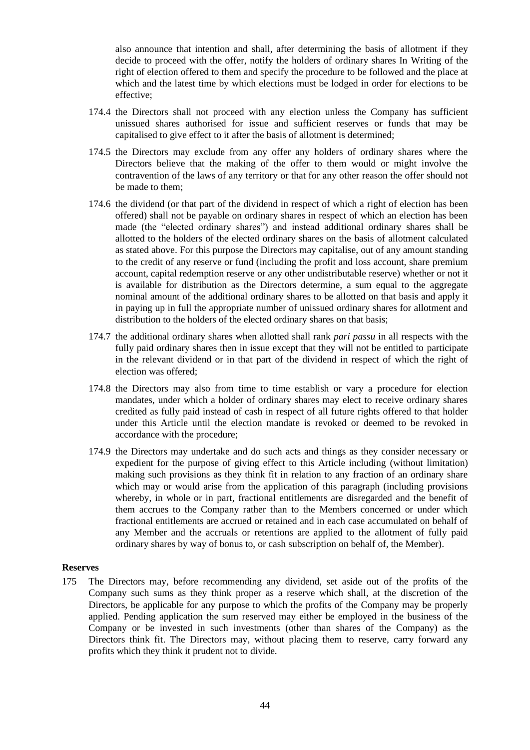also announce that intention and shall, after determining the basis of allotment if they decide to proceed with the offer, notify the holders of ordinary shares In Writing of the right of election offered to them and specify the procedure to be followed and the place at which and the latest time by which elections must be lodged in order for elections to be effective;

- 174.4 the Directors shall not proceed with any election unless the Company has sufficient unissued shares authorised for issue and sufficient reserves or funds that may be capitalised to give effect to it after the basis of allotment is determined;
- 174.5 the Directors may exclude from any offer any holders of ordinary shares where the Directors believe that the making of the offer to them would or might involve the contravention of the laws of any territory or that for any other reason the offer should not be made to them;
- 174.6 the dividend (or that part of the dividend in respect of which a right of election has been offered) shall not be payable on ordinary shares in respect of which an election has been made (the "elected ordinary shares") and instead additional ordinary shares shall be allotted to the holders of the elected ordinary shares on the basis of allotment calculated as stated above. For this purpose the Directors may capitalise, out of any amount standing to the credit of any reserve or fund (including the profit and loss account, share premium account, capital redemption reserve or any other undistributable reserve) whether or not it is available for distribution as the Directors determine, a sum equal to the aggregate nominal amount of the additional ordinary shares to be allotted on that basis and apply it in paying up in full the appropriate number of unissued ordinary shares for allotment and distribution to the holders of the elected ordinary shares on that basis;
- 174.7 the additional ordinary shares when allotted shall rank *pari passu* in all respects with the fully paid ordinary shares then in issue except that they will not be entitled to participate in the relevant dividend or in that part of the dividend in respect of which the right of election was offered;
- 174.8 the Directors may also from time to time establish or vary a procedure for election mandates, under which a holder of ordinary shares may elect to receive ordinary shares credited as fully paid instead of cash in respect of all future rights offered to that holder under this Article until the election mandate is revoked or deemed to be revoked in accordance with the procedure;
- 174.9 the Directors may undertake and do such acts and things as they consider necessary or expedient for the purpose of giving effect to this Article including (without limitation) making such provisions as they think fit in relation to any fraction of an ordinary share which may or would arise from the application of this paragraph (including provisions whereby, in whole or in part, fractional entitlements are disregarded and the benefit of them accrues to the Company rather than to the Members concerned or under which fractional entitlements are accrued or retained and in each case accumulated on behalf of any Member and the accruals or retentions are applied to the allotment of fully paid ordinary shares by way of bonus to, or cash subscription on behalf of, the Member).

### **Reserves**

175 The Directors may, before recommending any dividend, set aside out of the profits of the Company such sums as they think proper as a reserve which shall, at the discretion of the Directors, be applicable for any purpose to which the profits of the Company may be properly applied. Pending application the sum reserved may either be employed in the business of the Company or be invested in such investments (other than shares of the Company) as the Directors think fit. The Directors may, without placing them to reserve, carry forward any profits which they think it prudent not to divide.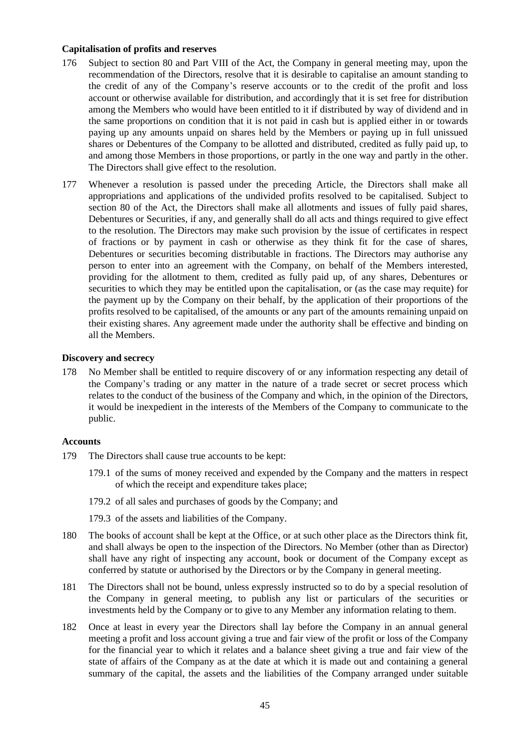### **Capitalisation of profits and reserves**

- 176 Subject to section 80 and Part VIII of the Act, the Company in general meeting may, upon the recommendation of the Directors, resolve that it is desirable to capitalise an amount standing to the credit of any of the Company's reserve accounts or to the credit of the profit and loss account or otherwise available for distribution, and accordingly that it is set free for distribution among the Members who would have been entitled to it if distributed by way of dividend and in the same proportions on condition that it is not paid in cash but is applied either in or towards paying up any amounts unpaid on shares held by the Members or paying up in full unissued shares or Debentures of the Company to be allotted and distributed, credited as fully paid up, to and among those Members in those proportions, or partly in the one way and partly in the other. The Directors shall give effect to the resolution.
- 177 Whenever a resolution is passed under the preceding Article, the Directors shall make all appropriations and applications of the undivided profits resolved to be capitalised. Subject to section 80 of the Act, the Directors shall make all allotments and issues of fully paid shares, Debentures or Securities, if any, and generally shall do all acts and things required to give effect to the resolution. The Directors may make such provision by the issue of certificates in respect of fractions or by payment in cash or otherwise as they think fit for the case of shares, Debentures or securities becoming distributable in fractions. The Directors may authorise any person to enter into an agreement with the Company, on behalf of the Members interested, providing for the allotment to them, credited as fully paid up, of any shares, Debentures or securities to which they may be entitled upon the capitalisation, or (as the case may requite) for the payment up by the Company on their behalf, by the application of their proportions of the profits resolved to be capitalised, of the amounts or any part of the amounts remaining unpaid on their existing shares. Any agreement made under the authority shall be effective and binding on all the Members.

### **Discovery and secrecy**

178 No Member shall be entitled to require discovery of or any information respecting any detail of the Company's trading or any matter in the nature of a trade secret or secret process which relates to the conduct of the business of the Company and which, in the opinion of the Directors, it would be inexpedient in the interests of the Members of the Company to communicate to the public.

#### **Accounts**

- 179 The Directors shall cause true accounts to be kept:
	- 179.1 of the sums of money received and expended by the Company and the matters in respect of which the receipt and expenditure takes place;
	- 179.2 of all sales and purchases of goods by the Company; and
	- 179.3 of the assets and liabilities of the Company.
- 180 The books of account shall be kept at the Office, or at such other place as the Directors think fit, and shall always be open to the inspection of the Directors. No Member (other than as Director) shall have any right of inspecting any account, book or document of the Company except as conferred by statute or authorised by the Directors or by the Company in general meeting.
- 181 The Directors shall not be bound, unless expressly instructed so to do by a special resolution of the Company in general meeting, to publish any list or particulars of the securities or investments held by the Company or to give to any Member any information relating to them.
- 182 Once at least in every year the Directors shall lay before the Company in an annual general meeting a profit and loss account giving a true and fair view of the profit or loss of the Company for the financial year to which it relates and a balance sheet giving a true and fair view of the state of affairs of the Company as at the date at which it is made out and containing a general summary of the capital, the assets and the liabilities of the Company arranged under suitable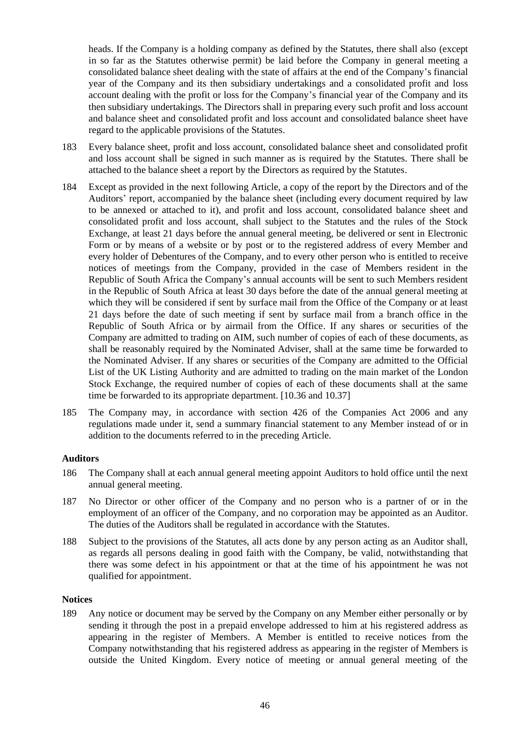heads. If the Company is a holding company as defined by the Statutes, there shall also (except in so far as the Statutes otherwise permit) be laid before the Company in general meeting a consolidated balance sheet dealing with the state of affairs at the end of the Company's financial year of the Company and its then subsidiary undertakings and a consolidated profit and loss account dealing with the profit or loss for the Company's financial year of the Company and its then subsidiary undertakings. The Directors shall in preparing every such profit and loss account and balance sheet and consolidated profit and loss account and consolidated balance sheet have regard to the applicable provisions of the Statutes.

- 183 Every balance sheet, profit and loss account, consolidated balance sheet and consolidated profit and loss account shall be signed in such manner as is required by the Statutes. There shall be attached to the balance sheet a report by the Directors as required by the Statutes.
- 184 Except as provided in the next following Article, a copy of the report by the Directors and of the Auditors' report, accompanied by the balance sheet (including every document required by law to be annexed or attached to it), and profit and loss account, consolidated balance sheet and consolidated profit and loss account, shall subject to the Statutes and the rules of the Stock Exchange, at least 21 days before the annual general meeting, be delivered or sent in Electronic Form or by means of a website or by post or to the registered address of every Member and every holder of Debentures of the Company, and to every other person who is entitled to receive notices of meetings from the Company, provided in the case of Members resident in the Republic of South Africa the Company's annual accounts will be sent to such Members resident in the Republic of South Africa at least 30 days before the date of the annual general meeting at which they will be considered if sent by surface mail from the Office of the Company or at least 21 days before the date of such meeting if sent by surface mail from a branch office in the Republic of South Africa or by airmail from the Office. If any shares or securities of the Company are admitted to trading on AIM, such number of copies of each of these documents, as shall be reasonably required by the Nominated Adviser, shall at the same time be forwarded to the Nominated Adviser. If any shares or securities of the Company are admitted to the Official List of the UK Listing Authority and are admitted to trading on the main market of the London Stock Exchange, the required number of copies of each of these documents shall at the same time be forwarded to its appropriate department. [10.36 and 10.37]
- 185 The Company may, in accordance with section 426 of the Companies Act 2006 and any regulations made under it, send a summary financial statement to any Member instead of or in addition to the documents referred to in the preceding Article.

### **Auditors**

- 186 The Company shall at each annual general meeting appoint Auditors to hold office until the next annual general meeting.
- 187 No Director or other officer of the Company and no person who is a partner of or in the employment of an officer of the Company, and no corporation may be appointed as an Auditor. The duties of the Auditors shall be regulated in accordance with the Statutes.
- 188 Subject to the provisions of the Statutes, all acts done by any person acting as an Auditor shall, as regards all persons dealing in good faith with the Company, be valid, notwithstanding that there was some defect in his appointment or that at the time of his appointment he was not qualified for appointment.

#### **Notices**

189 Any notice or document may be served by the Company on any Member either personally or by sending it through the post in a prepaid envelope addressed to him at his registered address as appearing in the register of Members. A Member is entitled to receive notices from the Company notwithstanding that his registered address as appearing in the register of Members is outside the United Kingdom. Every notice of meeting or annual general meeting of the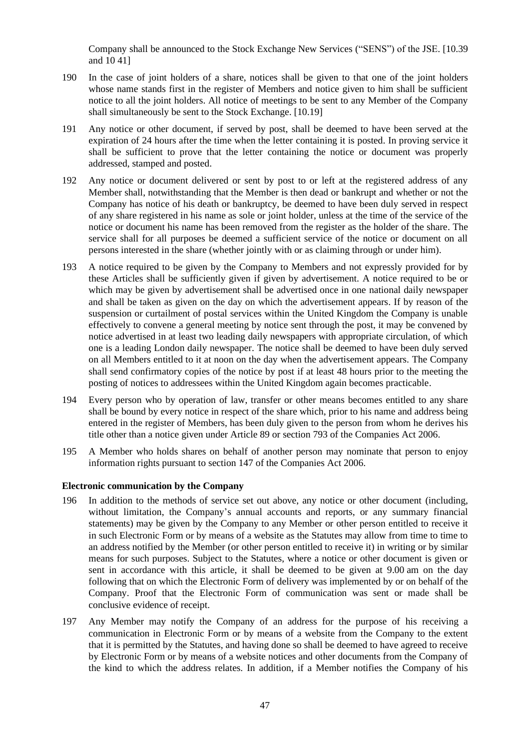Company shall be announced to the Stock Exchange New Services ("SENS") of the JSE. [10.39 and 10 41]

- 190 In the case of joint holders of a share, notices shall be given to that one of the joint holders whose name stands first in the register of Members and notice given to him shall be sufficient notice to all the joint holders. All notice of meetings to be sent to any Member of the Company shall simultaneously be sent to the Stock Exchange. [10.19]
- 191 Any notice or other document, if served by post, shall be deemed to have been served at the expiration of 24 hours after the time when the letter containing it is posted. In proving service it shall be sufficient to prove that the letter containing the notice or document was properly addressed, stamped and posted.
- 192 Any notice or document delivered or sent by post to or left at the registered address of any Member shall, notwithstanding that the Member is then dead or bankrupt and whether or not the Company has notice of his death or bankruptcy, be deemed to have been duly served in respect of any share registered in his name as sole or joint holder, unless at the time of the service of the notice or document his name has been removed from the register as the holder of the share. The service shall for all purposes be deemed a sufficient service of the notice or document on all persons interested in the share (whether jointly with or as claiming through or under him).
- 193 A notice required to be given by the Company to Members and not expressly provided for by these Articles shall be sufficiently given if given by advertisement. A notice required to be or which may be given by advertisement shall be advertised once in one national daily newspaper and shall be taken as given on the day on which the advertisement appears. If by reason of the suspension or curtailment of postal services within the United Kingdom the Company is unable effectively to convene a general meeting by notice sent through the post, it may be convened by notice advertised in at least two leading daily newspapers with appropriate circulation, of which one is a leading London daily newspaper. The notice shall be deemed to have been duly served on all Members entitled to it at noon on the day when the advertisement appears. The Company shall send confirmatory copies of the notice by post if at least 48 hours prior to the meeting the posting of notices to addressees within the United Kingdom again becomes practicable.
- 194 Every person who by operation of law, transfer or other means becomes entitled to any share shall be bound by every notice in respect of the share which, prior to his name and address being entered in the register of Members, has been duly given to the person from whom he derives his title other than a notice given under Article 89 or section 793 of the Companies Act 2006.
- 195 A Member who holds shares on behalf of another person may nominate that person to enjoy information rights pursuant to section 147 of the Companies Act 2006.

### **Electronic communication by the Company**

- 196 In addition to the methods of service set out above, any notice or other document (including, without limitation, the Company's annual accounts and reports, or any summary financial statements) may be given by the Company to any Member or other person entitled to receive it in such Electronic Form or by means of a website as the Statutes may allow from time to time to an address notified by the Member (or other person entitled to receive it) in writing or by similar means for such purposes. Subject to the Statutes, where a notice or other document is given or sent in accordance with this article, it shall be deemed to be given at 9.00 am on the day following that on which the Electronic Form of delivery was implemented by or on behalf of the Company. Proof that the Electronic Form of communication was sent or made shall be conclusive evidence of receipt.
- 197 Any Member may notify the Company of an address for the purpose of his receiving a communication in Electronic Form or by means of a website from the Company to the extent that it is permitted by the Statutes, and having done so shall be deemed to have agreed to receive by Electronic Form or by means of a website notices and other documents from the Company of the kind to which the address relates. In addition, if a Member notifies the Company of his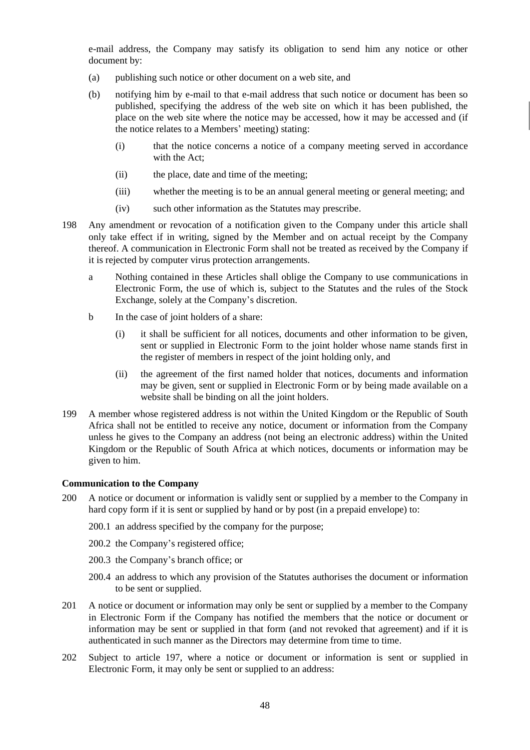e-mail address, the Company may satisfy its obligation to send him any notice or other document by:

- (a) publishing such notice or other document on a web site, and
- (b) notifying him by e-mail to that e-mail address that such notice or document has been so published, specifying the address of the web site on which it has been published, the place on the web site where the notice may be accessed, how it may be accessed and (if the notice relates to a Members' meeting) stating:
	- (i) that the notice concerns a notice of a company meeting served in accordance with the Act;
	- (ii) the place, date and time of the meeting;
	- (iii) whether the meeting is to be an annual general meeting or general meeting; and
	- (iv) such other information as the Statutes may prescribe.
- 198 Any amendment or revocation of a notification given to the Company under this article shall only take effect if in writing, signed by the Member and on actual receipt by the Company thereof. A communication in Electronic Form shall not be treated as received by the Company if it is rejected by computer virus protection arrangements.
	- a Nothing contained in these Articles shall oblige the Company to use communications in Electronic Form, the use of which is, subject to the Statutes and the rules of the Stock Exchange, solely at the Company's discretion.
	- b In the case of joint holders of a share:
		- (i) it shall be sufficient for all notices, documents and other information to be given, sent or supplied in Electronic Form to the joint holder whose name stands first in the register of members in respect of the joint holding only, and
		- (ii) the agreement of the first named holder that notices, documents and information may be given, sent or supplied in Electronic Form or by being made available on a website shall be binding on all the joint holders.
- 199 A member whose registered address is not within the United Kingdom or the Republic of South Africa shall not be entitled to receive any notice, document or information from the Company unless he gives to the Company an address (not being an electronic address) within the United Kingdom or the Republic of South Africa at which notices, documents or information may be given to him.

### **Communication to the Company**

- 200 A notice or document or information is validly sent or supplied by a member to the Company in hard copy form if it is sent or supplied by hand or by post (in a prepaid envelope) to:
	- 200.1 an address specified by the company for the purpose;
	- 200.2 the Company's registered office;
	- 200.3 the Company's branch office; or
	- 200.4 an address to which any provision of the Statutes authorises the document or information to be sent or supplied.
- 201 A notice or document or information may only be sent or supplied by a member to the Company in Electronic Form if the Company has notified the members that the notice or document or information may be sent or supplied in that form (and not revoked that agreement) and if it is authenticated in such manner as the Directors may determine from time to time.
- 202 Subject to article 197, where a notice or document or information is sent or supplied in Electronic Form, it may only be sent or supplied to an address: